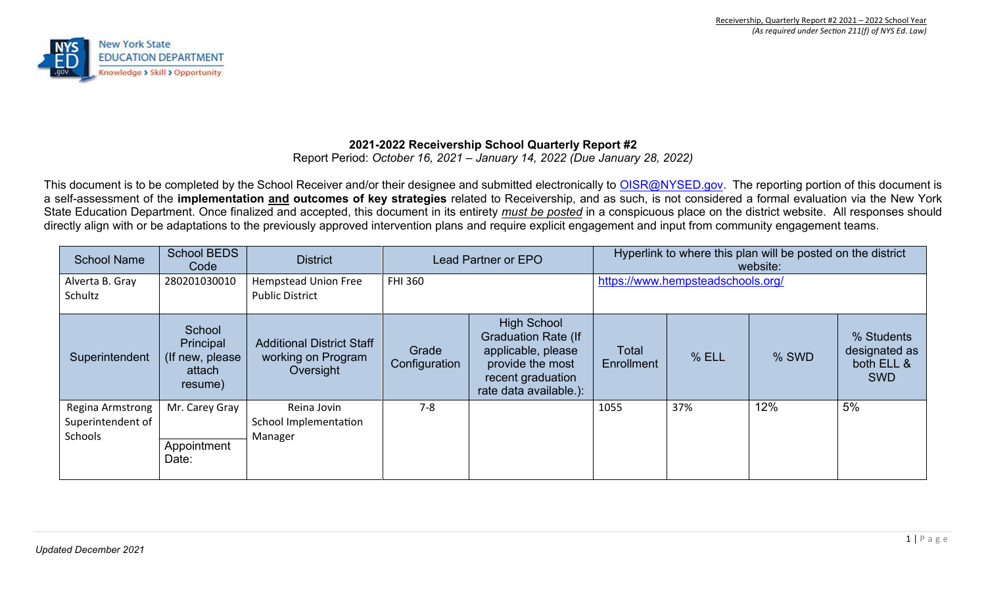

# **2021-2022 Receivership School Quarterly Report #2**

Report Period: *October 16, 2021 – January 14, 2022 (Due January 28, 2022)* 

This document is to be completed by the School Receiver and/or their designee and submitted electronically to OISR@NYSED.gov. The reporting portion of this document is a self-assessment of the **implementation and outcomes of key strategies** related to Receivership, and as such, is not considered a formal evaluation via the New York State Education Department. Once finalized and accepted, this document in its entirety *must be posted* in a conspicuous place on the district website. All responses should directly align with or be adaptations to the previously approved intervention plans and require explicit engagement and input from community engagement teams.

| <b>School Name</b>                               | <b>School BEDS</b><br>Code                                   | <b>District</b>                                                     |                        | <b>Lead Partner or EPO</b>                                                                                                                |                                   | Hyperlink to where this plan will be posted on the district<br>website: |       |                                                         |  |
|--------------------------------------------------|--------------------------------------------------------------|---------------------------------------------------------------------|------------------------|-------------------------------------------------------------------------------------------------------------------------------------------|-----------------------------------|-------------------------------------------------------------------------|-------|---------------------------------------------------------|--|
| Alverta B. Gray<br>Schultz                       | 280201030010                                                 | <b>Hempstead Union Free</b><br><b>Public District</b>               | <b>FHI 360</b>         |                                                                                                                                           | https://www.hempsteadschools.org/ |                                                                         |       |                                                         |  |
| Superintendent                                   | School<br>Principal<br>(If new, please)<br>attach<br>resume) | <b>Additional District Staff</b><br>working on Program<br>Oversight | Grade<br>Configuration | <b>High School</b><br><b>Graduation Rate (If</b><br>applicable, please<br>provide the most<br>recent graduation<br>rate data available.): | Total<br><b>Enrollment</b>        | % ELL                                                                   | % SWD | % Students<br>designated as<br>both ELL &<br><b>SWD</b> |  |
| Regina Armstrong<br>Superintendent of<br>Schools | Mr. Carey Gray<br>Appointment<br>Date:                       | Reina Jovin<br>School Implementation<br>Manager                     | $7 - 8$                |                                                                                                                                           | 1055                              | 37%                                                                     | 12%   | 5%                                                      |  |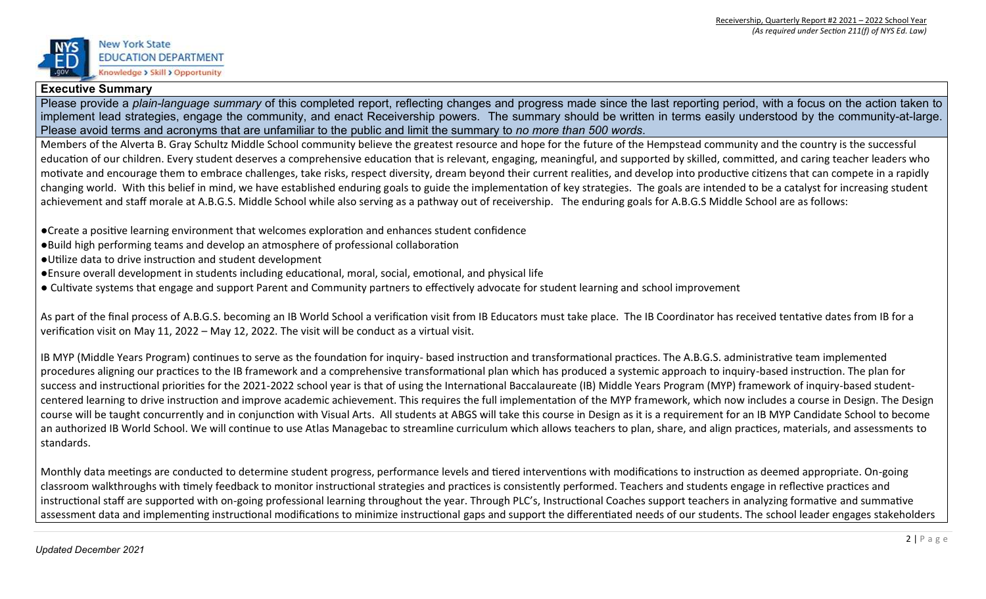

## **Executive Summary**

Please provide a *plain-language summary* of this completed report, reflecting changes and progress made since the last reporting period, with a focus on the action taken to implement lead strategies, engage the community, and enact Receivership powers. The summary should be written in terms easily understood by the community-at-large. Please avoid terms and acronyms that are unfamiliar to the public and limit the summary to *no more than 500 words*.

Members of the Alverta B. Gray Schultz Middle School community believe the greatest resource and hope for the future of the Hempstead community and the country is the successful education of our children. Every student deserves a comprehensive education that is relevant, engaging, meaningful, and supported by skilled, committed, and caring teacher leaders who motivate and encourage them to embrace challenges, take risks, respect diversity, dream beyond their current realities, and develop into productive citizens that can compete in a rapidly changing world. With this belief in mind, we have established enduring goals to guide the implementation of key strategies. The goals are intended to be a catalyst for increasing student achievement and staff morale at A.B.G.S. Middle School while also serving as a pathway out of receivership. The enduring goals for A.B.G.S Middle School are as follows:

●Create a positive learning environment that welcomes exploration and enhances student confidence

- ●Build high performing teams and develop an atmosphere of professional collaboration
- ●Utilize data to drive instruction and student development
- ●Ensure overall development in students including educational, moral, social, emotional, and physical life
- Cultivate systems that engage and support Parent and Community partners to effectively advocate for student learning and school improvement

As part of the final process of A.B.G.S. becoming an IB World School a verification visit from IB Educators must take place. The IB Coordinator has received tentative dates from IB for a verification visit on May 11, 2022 – May 12, 2022. The visit will be conduct as a virtual visit.

IB MYP (Middle Years Program) continues to serve as the foundation for inquiry- based instruction and transformational practices. The A.B.G.S. administrative team implemented procedures aligning our practices to the IB framework and a comprehensive transformational plan which has produced a systemic approach to inquiry-based instruction. The plan for success and instructional priorities for the 2021-2022 school year is that of using the International Baccalaureate (IB) Middle Years Program (MYP) framework of inquiry-based studentcentered learning to drive instruction and improve academic achievement. This requires the full implementation of the MYP framework, which now includes a course in Design. The Design course will be taught concurrently and in conjunction with Visual Arts. All students at ABGS will take this course in Design as it is a requirement for an IB MYP Candidate School to become an authorized IB World School. We will continue to use Atlas Managebac to streamline curriculum which allows teachers to plan, share, and align practices, materials, and assessments to standards.

Monthly data meetings are conducted to determine student progress, performance levels and tiered interventions with modifications to instruction as deemed appropriate. On-going classroom walkthroughs with timely feedback to monitor instructional strategies and practices is consistently performed. Teachers and students engage in reflective practices and instructional staff are supported with on-going professional learning throughout the year. Through PLC's, Instructional Coaches support teachers in analyzing formative and summative assessment data and implementing instructional modifications to minimize instructional gaps and support the differentiated needs of our students. The school leader engages stakeholders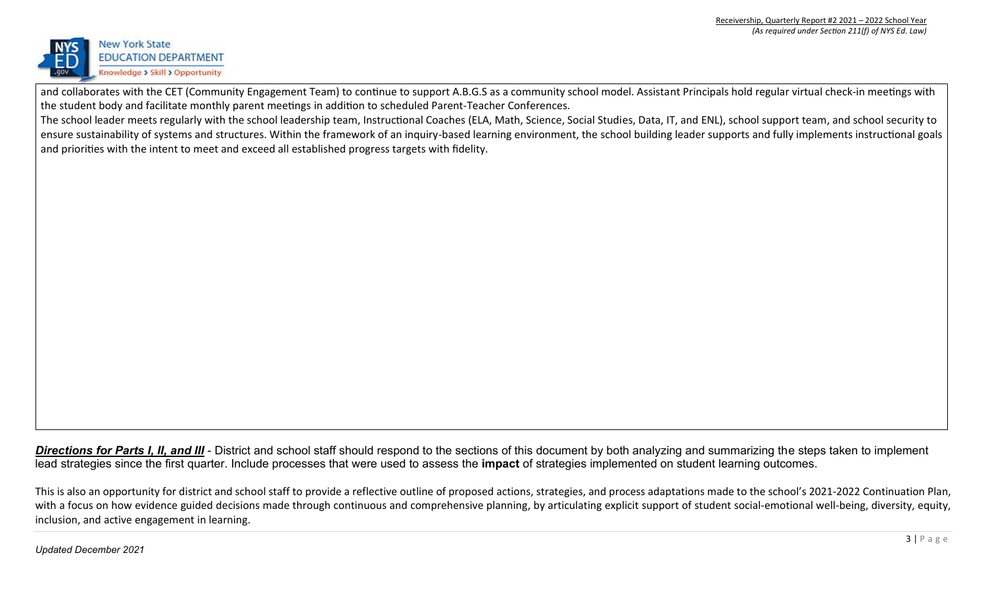

and collaborates with the CET (Community Engagement Team) to continue to support A.B.G.S as a community school model. Assistant Principals hold regular virtual check-in meetings with the student body and facilitate monthly parent meetings in addition to scheduled Parent-Teacher Conferences.

The school leader meets regularly with the school leadership team, Instructional Coaches (ELA, Math, Science, Social Studies, Data, IT, and ENL), school support team, and school security to ensure sustainability of systems and structures. Within the framework of an inquiry-based learning environment, the school building leader supports and fully implements instructional goals and priorities with the intent to meet and exceed all established progress targets with fidelity.

**Directions for Parts I, II, and III** - District and school staff should respond to the sections of this document by both analyzing and summarizing the steps taken to implement lead strategies since the first quarter. Include processes that were used to assess the **impact** of strategies implemented on student learning outcomes.

This is also an opportunity for district and school staff to provide a reflective outline of proposed actions, strategies, and process adaptations made to the school's 2021-2022 Continuation Plan, with a focus on how evidence guided decisions made through continuous and comprehensive planning, by articulating explicit support of student social-emotional well-being, diversity, equity, inclusion, and active engagement in learning.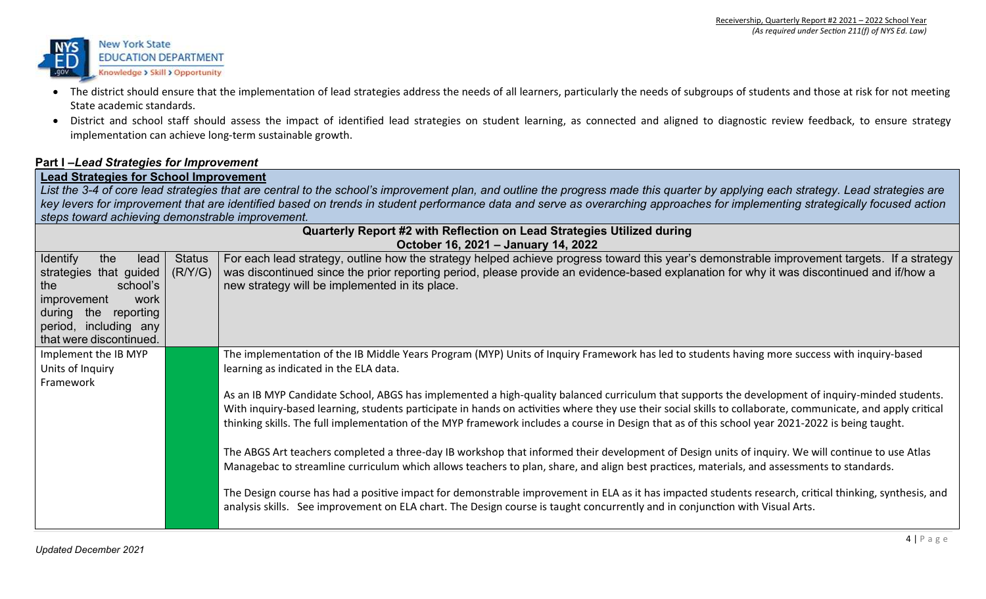

- The district should ensure that the implementation of lead strategies address the needs of all learners, particularly the needs of subgroups of students and those at risk for not meeting State academic standards.
- District and school staff should assess the impact of identified lead strategies on student learning, as connected and aligned to diagnostic review feedback, to ensure strategy implementation can achieve long-term sustainable growth.

# **Part I –***Lead Strategies for Improvement*

**Lead Strategies for School Improvement** 

List the 3-4 of core lead strategies that are central to the school's improvement plan, and outline the progress made this quarter by applying each strategy. Lead strategies are *key levers for improvement that are identified based on trends in student performance data and serve as overarching approaches for implementing strategically focused action steps toward achieving demonstrable improvement.* 

|                                                                                                                                                                                      |                          | Quarterly Report #2 with Reflection on Lead Strategies Utilized during                                                                                                                                                                                                                                                                                                                                                                                              |
|--------------------------------------------------------------------------------------------------------------------------------------------------------------------------------------|--------------------------|---------------------------------------------------------------------------------------------------------------------------------------------------------------------------------------------------------------------------------------------------------------------------------------------------------------------------------------------------------------------------------------------------------------------------------------------------------------------|
|                                                                                                                                                                                      |                          | October 16, 2021 - January 14, 2022                                                                                                                                                                                                                                                                                                                                                                                                                                 |
| Identify<br>the<br>lead<br>strategies that guided<br>school's<br>the<br><i>improvement</i><br>work<br>the<br>during<br>reporting<br>period, including any<br>that were discontinued. | <b>Status</b><br>(R/Y/G) | For each lead strategy, outline how the strategy helped achieve progress toward this year's demonstrable improvement targets. If a strategy<br>was discontinued since the prior reporting period, please provide an evidence-based explanation for why it was discontinued and if/how a<br>new strategy will be implemented in its place.                                                                                                                           |
| Implement the IB MYP<br>Units of Inquiry                                                                                                                                             |                          | The implementation of the IB Middle Years Program (MYP) Units of Inquiry Framework has led to students having more success with inquiry-based<br>learning as indicated in the ELA data.                                                                                                                                                                                                                                                                             |
| Framework                                                                                                                                                                            |                          | As an IB MYP Candidate School, ABGS has implemented a high-quality balanced curriculum that supports the development of inquiry-minded students.<br>With inquiry-based learning, students participate in hands on activities where they use their social skills to collaborate, communicate, and apply critical<br>thinking skills. The full implementation of the MYP framework includes a course in Design that as of this school year 2021-2022 is being taught. |
|                                                                                                                                                                                      |                          | The ABGS Art teachers completed a three-day IB workshop that informed their development of Design units of inquiry. We will continue to use Atlas<br>Managebac to streamline curriculum which allows teachers to plan, share, and align best practices, materials, and assessments to standards.                                                                                                                                                                    |
|                                                                                                                                                                                      |                          | The Design course has had a positive impact for demonstrable improvement in ELA as it has impacted students research, critical thinking, synthesis, and<br>analysis skills. See improvement on ELA chart. The Design course is taught concurrently and in conjunction with Visual Arts.                                                                                                                                                                             |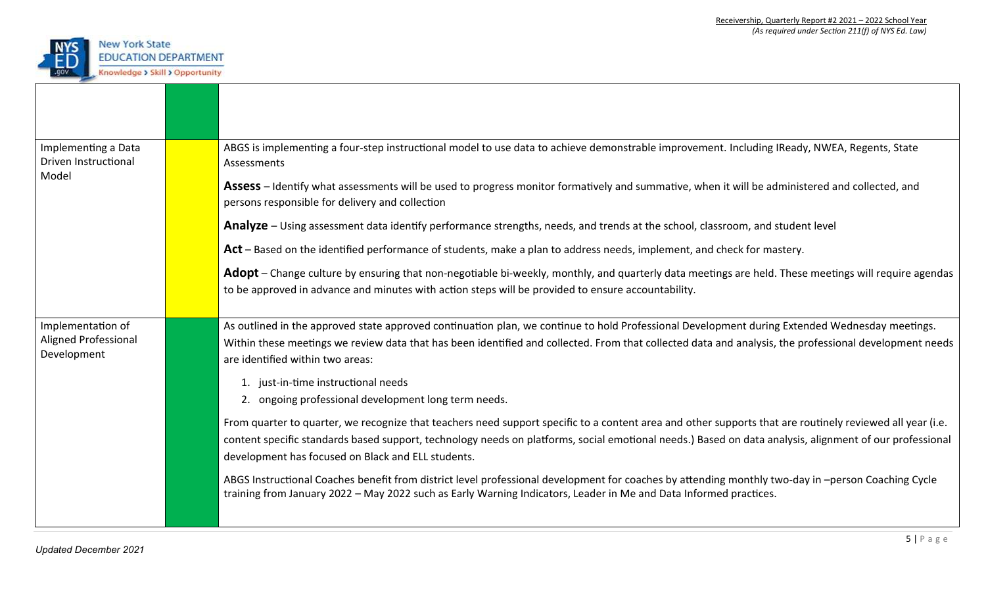

| Implementing a Data<br>Driven Instructional              | ABGS is implementing a four-step instructional model to use data to achieve demonstrable improvement. Including IReady, NWEA, Regents, State<br>Assessments                                                                                                                                                                                                                |
|----------------------------------------------------------|----------------------------------------------------------------------------------------------------------------------------------------------------------------------------------------------------------------------------------------------------------------------------------------------------------------------------------------------------------------------------|
| Model                                                    | Assess – Identify what assessments will be used to progress monitor formatively and summative, when it will be administered and collected, and<br>persons responsible for delivery and collection                                                                                                                                                                          |
|                                                          | Analyze – Using assessment data identify performance strengths, needs, and trends at the school, classroom, and student level                                                                                                                                                                                                                                              |
|                                                          | Act – Based on the identified performance of students, make a plan to address needs, implement, and check for mastery.                                                                                                                                                                                                                                                     |
|                                                          | Adopt – Change culture by ensuring that non-negotiable bi-weekly, monthly, and quarterly data meetings are held. These meetings will require agendas<br>to be approved in advance and minutes with action steps will be provided to ensure accountability.                                                                                                                 |
| Implementation of<br>Aligned Professional<br>Development | As outlined in the approved state approved continuation plan, we continue to hold Professional Development during Extended Wednesday meetings.<br>Within these meetings we review data that has been identified and collected. From that collected data and analysis, the professional development needs<br>are identified within two areas:                               |
|                                                          | 1. just-in-time instructional needs<br>2. ongoing professional development long term needs.                                                                                                                                                                                                                                                                                |
|                                                          | From quarter to quarter, we recognize that teachers need support specific to a content area and other supports that are routinely reviewed all year (i.e.<br>content specific standards based support, technology needs on platforms, social emotional needs.) Based on data analysis, alignment of our professional<br>development has focused on Black and ELL students. |
|                                                          | ABGS Instructional Coaches benefit from district level professional development for coaches by attending monthly two-day in -person Coaching Cycle<br>training from January 2022 - May 2022 such as Early Warning Indicators, Leader in Me and Data Informed practices.                                                                                                    |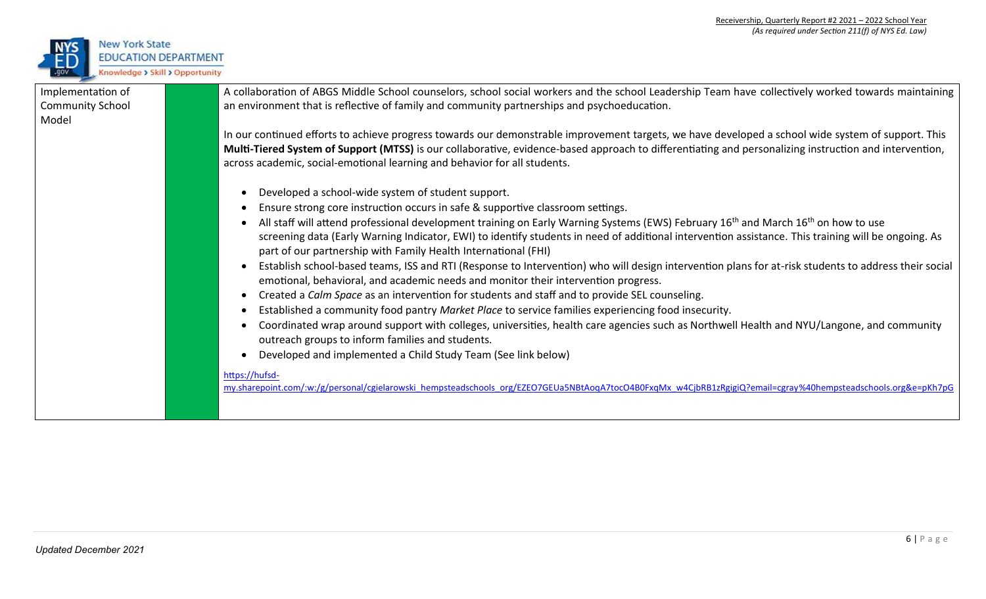

| Implementation of       | A collaboration of ABGS Middle School counselors, school social workers and the school Leadership Team have collectively worked towards maintaining                                                                                                                                                                                                                                       |
|-------------------------|-------------------------------------------------------------------------------------------------------------------------------------------------------------------------------------------------------------------------------------------------------------------------------------------------------------------------------------------------------------------------------------------|
| <b>Community School</b> | an environment that is reflective of family and community partnerships and psychoeducation.                                                                                                                                                                                                                                                                                               |
| Model                   |                                                                                                                                                                                                                                                                                                                                                                                           |
|                         | In our continued efforts to achieve progress towards our demonstrable improvement targets, we have developed a school wide system of support. This<br>Multi-Tiered System of Support (MTSS) is our collaborative, evidence-based approach to differentiating and personalizing instruction and intervention,<br>across academic, social-emotional learning and behavior for all students. |
|                         | Developed a school-wide system of student support.                                                                                                                                                                                                                                                                                                                                        |
|                         | Ensure strong core instruction occurs in safe & supportive classroom settings.                                                                                                                                                                                                                                                                                                            |
|                         | All staff will attend professional development training on Early Warning Systems (EWS) February 16 <sup>th</sup> and March 16 <sup>th</sup> on how to use                                                                                                                                                                                                                                 |
|                         | screening data (Early Warning Indicator, EWI) to identify students in need of additional intervention assistance. This training will be ongoing. As<br>part of our partnership with Family Health International (FHI)                                                                                                                                                                     |
|                         | Establish school-based teams, ISS and RTI (Response to Intervention) who will design intervention plans for at-risk students to address their social<br>emotional, behavioral, and academic needs and monitor their intervention progress.                                                                                                                                                |
|                         | Created a Calm Space as an intervention for students and staff and to provide SEL counseling.                                                                                                                                                                                                                                                                                             |
|                         | Established a community food pantry Market Place to service families experiencing food insecurity.                                                                                                                                                                                                                                                                                        |
|                         | Coordinated wrap around support with colleges, universities, health care agencies such as Northwell Health and NYU/Langone, and community<br>outreach groups to inform families and students.                                                                                                                                                                                             |
|                         | Developed and implemented a Child Study Team (See link below)                                                                                                                                                                                                                                                                                                                             |
|                         | https://hufsd-<br>my.sharepoint.com/:w:/g/personal/cgielarowski hempsteadschools org/EZEO7GEUa5NBtAoqA7tocO4B0FxqMx w4CjbRB1zRgigiQ?email=cgray%40hempsteadschools.org&e=pKh7pG                                                                                                                                                                                                           |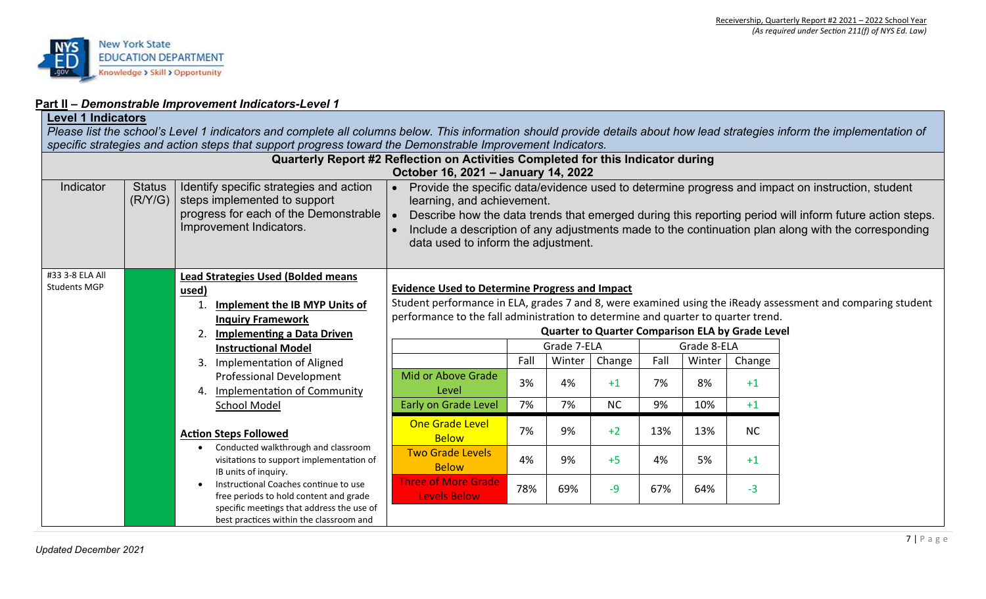

# **Part II –** *Demonstrable Improvement Indicators-Level 1*

| <b>Level 1 Indicators</b>              |               |                      | Please list the school's Level 1 indicators and complete all columns below. This information should provide details about how lead strategies inform the implementation of |                                                                                                                                                                      |      |             |           |      |             |           |                                                                                                         |
|----------------------------------------|---------------|----------------------|----------------------------------------------------------------------------------------------------------------------------------------------------------------------------|----------------------------------------------------------------------------------------------------------------------------------------------------------------------|------|-------------|-----------|------|-------------|-----------|---------------------------------------------------------------------------------------------------------|
|                                        |               |                      | specific strategies and action steps that support progress toward the Demonstrable Improvement Indicators.                                                                 |                                                                                                                                                                      |      |             |           |      |             |           |                                                                                                         |
|                                        |               |                      |                                                                                                                                                                            | Quarterly Report #2 Reflection on Activities Completed for this Indicator during                                                                                     |      |             |           |      |             |           |                                                                                                         |
|                                        |               |                      |                                                                                                                                                                            | October 16, 2021 – January 14, 2022                                                                                                                                  |      |             |           |      |             |           |                                                                                                         |
| Indicator                              | <b>Status</b> |                      | Identify specific strategies and action                                                                                                                                    |                                                                                                                                                                      |      |             |           |      |             |           | Provide the specific data/evidence used to determine progress and impact on instruction, student        |
|                                        | (R/Y/G)       |                      | steps implemented to support                                                                                                                                               | learning, and achievement.                                                                                                                                           |      |             |           |      |             |           |                                                                                                         |
|                                        |               |                      | progress for each of the Demonstrable<br>Improvement Indicators.                                                                                                           |                                                                                                                                                                      |      |             |           |      |             |           | Describe how the data trends that emerged during this reporting period will inform future action steps. |
|                                        |               |                      |                                                                                                                                                                            | data used to inform the adjustment.                                                                                                                                  |      |             |           |      |             |           | Include a description of any adjustments made to the continuation plan along with the corresponding     |
|                                        |               |                      |                                                                                                                                                                            |                                                                                                                                                                      |      |             |           |      |             |           |                                                                                                         |
|                                        |               |                      |                                                                                                                                                                            |                                                                                                                                                                      |      |             |           |      |             |           |                                                                                                         |
| #33 3-8 ELA All<br><b>Students MGP</b> |               |                      | <b>Lead Strategies Used (Bolded means</b>                                                                                                                                  |                                                                                                                                                                      |      |             |           |      |             |           |                                                                                                         |
|                                        |               | used)<br>$\mathbf 1$ | Implement the IB MYP Units of                                                                                                                                              | <b>Evidence Used to Determine Progress and Impact</b><br>Student performance in ELA, grades 7 and 8, were examined using the iReady assessment and comparing student |      |             |           |      |             |           |                                                                                                         |
|                                        |               |                      | <b>Inquiry Framework</b>                                                                                                                                                   | performance to the fall administration to determine and quarter to quarter trend.                                                                                    |      |             |           |      |             |           |                                                                                                         |
|                                        |               | 2 <sub>1</sub>       | <b>Implementing a Data Driven</b>                                                                                                                                          | <b>Quarter to Quarter Comparison ELA by Grade Level</b>                                                                                                              |      |             |           |      |             |           |                                                                                                         |
|                                        |               |                      | <b>Instructional Model</b>                                                                                                                                                 |                                                                                                                                                                      |      | Grade 7-ELA |           |      | Grade 8-ELA |           |                                                                                                         |
|                                        |               | 3.                   | Implementation of Aligned                                                                                                                                                  |                                                                                                                                                                      | Fall | Winter      | Change    | Fall | Winter      | Change    |                                                                                                         |
|                                        |               |                      | Professional Development                                                                                                                                                   | Mid or Above Grade                                                                                                                                                   |      |             |           |      |             |           |                                                                                                         |
|                                        |               | 4.                   | Implementation of Community                                                                                                                                                | Level                                                                                                                                                                | 3%   | 4%          | $+1$      | 7%   | 8%          | $+1$      |                                                                                                         |
|                                        |               |                      | School Model                                                                                                                                                               | Early on Grade Level                                                                                                                                                 | 7%   | 7%          | <b>NC</b> | 9%   | 10%         | $+1$      |                                                                                                         |
|                                        |               |                      |                                                                                                                                                                            | <b>One Grade Level</b>                                                                                                                                               |      |             |           |      |             |           |                                                                                                         |
|                                        |               |                      | <b>Action Steps Followed</b>                                                                                                                                               | <b>Below</b>                                                                                                                                                         | 7%   | 9%          | $+2$      | 13%  | 13%         | <b>NC</b> |                                                                                                         |
|                                        |               |                      | Conducted walkthrough and classroom                                                                                                                                        | <b>Two Grade Levels</b>                                                                                                                                              |      |             |           |      |             |           |                                                                                                         |
|                                        |               |                      | visitations to support implementation of<br>IB units of inquiry.                                                                                                           | <b>Below</b>                                                                                                                                                         | 4%   | 9%          | $+5$      | 4%   | 5%          | $+1$      |                                                                                                         |
|                                        |               |                      | Instructional Coaches continue to use                                                                                                                                      | <b>Three of More Grade</b>                                                                                                                                           |      |             |           |      |             |           |                                                                                                         |
|                                        |               |                      | free periods to hold content and grade                                                                                                                                     | <b>Levels Below</b>                                                                                                                                                  | 78%  | 69%         | $-9$      | 67%  | 64%         | $-3$      |                                                                                                         |
|                                        |               |                      | specific meetings that address the use of                                                                                                                                  |                                                                                                                                                                      |      |             |           |      |             |           |                                                                                                         |
|                                        |               |                      | best practices within the classroom and                                                                                                                                    |                                                                                                                                                                      |      |             |           |      |             |           |                                                                                                         |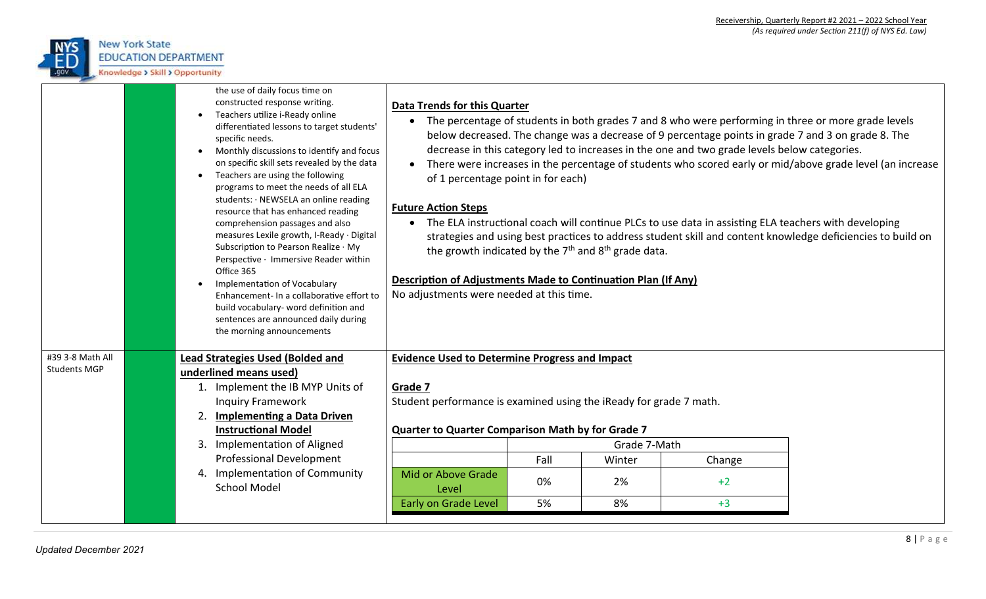

|                                         | the use of daily focus time on<br>constructed response writing.<br>Teachers utilize i-Ready online<br>differentiated lessons to target students'<br>specific needs.<br>Monthly discussions to identify and focus<br>on specific skill sets revealed by the data<br>Teachers are using the following<br>programs to meet the needs of all ELA<br>students: · NEWSELA an online reading<br>resource that has enhanced reading<br>comprehension passages and also<br>measures Lexile growth, I-Ready · Digital<br>Subscription to Pearson Realize · My<br>Perspective · Immersive Reader within<br>Office 365<br>Implementation of Vocabulary<br>Enhancement- In a collaborative effort to<br>build vocabulary- word definition and<br>sentences are announced daily during<br>the morning announcements | <b>Data Trends for this Quarter</b><br>$\bullet$<br>$\bullet$<br>of 1 percentage point in for each)<br><b>Future Action Steps</b><br>the growth indicated by the 7 <sup>th</sup> and 8 <sup>th</sup> grade data.<br>Description of Adjustments Made to Continuation Plan (If Any)<br>No adjustments were needed at this time. |                  |                                    | decrease in this category led to increases in the one and two grade levels below categories.<br>• The ELA instructional coach will continue PLCs to use data in assisting ELA teachers with developing | The percentage of students in both grades 7 and 8 who were performing in three or more grade levels<br>below decreased. The change was a decrease of 9 percentage points in grade 7 and 3 on grade 8. The<br>There were increases in the percentage of students who scored early or mid/above grade level (an increase<br>strategies and using best practices to address student skill and content knowledge deficiencies to build on |
|-----------------------------------------|-------------------------------------------------------------------------------------------------------------------------------------------------------------------------------------------------------------------------------------------------------------------------------------------------------------------------------------------------------------------------------------------------------------------------------------------------------------------------------------------------------------------------------------------------------------------------------------------------------------------------------------------------------------------------------------------------------------------------------------------------------------------------------------------------------|-------------------------------------------------------------------------------------------------------------------------------------------------------------------------------------------------------------------------------------------------------------------------------------------------------------------------------|------------------|------------------------------------|--------------------------------------------------------------------------------------------------------------------------------------------------------------------------------------------------------|---------------------------------------------------------------------------------------------------------------------------------------------------------------------------------------------------------------------------------------------------------------------------------------------------------------------------------------------------------------------------------------------------------------------------------------|
| #39 3-8 Math All<br><b>Students MGP</b> | <b>Lead Strategies Used (Bolded and</b>                                                                                                                                                                                                                                                                                                                                                                                                                                                                                                                                                                                                                                                                                                                                                               | <b>Evidence Used to Determine Progress and Impact</b>                                                                                                                                                                                                                                                                         |                  |                                    |                                                                                                                                                                                                        |                                                                                                                                                                                                                                                                                                                                                                                                                                       |
|                                         | underlined means used)<br>1. Implement the IB MYP Units of<br><b>Inquiry Framework</b><br>2. Implementing a Data Driven<br><b>Instructional Model</b><br>3. Implementation of Aligned<br><b>Professional Development</b><br>4. Implementation of Community<br><b>School Model</b>                                                                                                                                                                                                                                                                                                                                                                                                                                                                                                                     | Grade 7<br>Student performance is examined using the iReady for grade 7 math.<br><b>Quarter to Quarter Comparison Math by for Grade 7</b><br>Mid or Above Grade<br>Level<br>Early on Grade Level                                                                                                                              | Fall<br>0%<br>5% | Grade 7-Math<br>Winter<br>2%<br>8% | Change<br>$+2$<br>$+3$                                                                                                                                                                                 |                                                                                                                                                                                                                                                                                                                                                                                                                                       |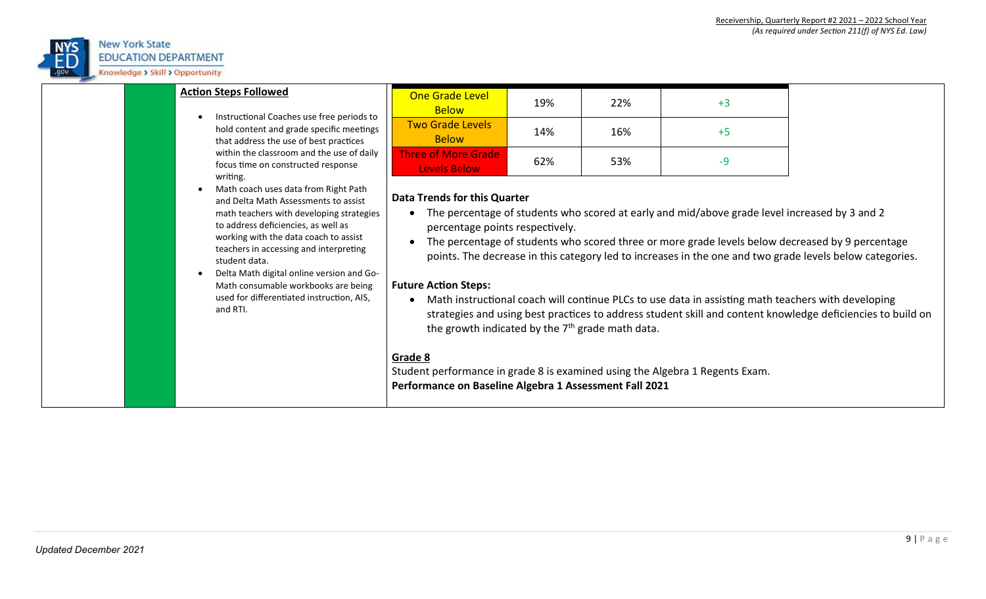

| <b>Action Steps Followed</b>                                                                                                                                                                                                                                                                                                                                                                                     | One Grade Level<br><b>Below</b>                                                                                                                                                                                                                                                                                            | 19% | 22% | $+3$                                                                                                                                                                                                                                                                                                    |                                                                                                                                                                                                                         |
|------------------------------------------------------------------------------------------------------------------------------------------------------------------------------------------------------------------------------------------------------------------------------------------------------------------------------------------------------------------------------------------------------------------|----------------------------------------------------------------------------------------------------------------------------------------------------------------------------------------------------------------------------------------------------------------------------------------------------------------------------|-----|-----|---------------------------------------------------------------------------------------------------------------------------------------------------------------------------------------------------------------------------------------------------------------------------------------------------------|-------------------------------------------------------------------------------------------------------------------------------------------------------------------------------------------------------------------------|
| Instructional Coaches use free periods to<br>hold content and grade specific meetings<br>that address the use of best practices                                                                                                                                                                                                                                                                                  | <b>Two Grade Levels</b><br><b>Below</b>                                                                                                                                                                                                                                                                                    | 14% | 16% | $+5$                                                                                                                                                                                                                                                                                                    |                                                                                                                                                                                                                         |
| within the classroom and the use of daily<br>focus time on constructed response<br>writing.                                                                                                                                                                                                                                                                                                                      | <b>Three of More Grade</b><br>Levels Below                                                                                                                                                                                                                                                                                 | 62% | 53% | $-9$                                                                                                                                                                                                                                                                                                    |                                                                                                                                                                                                                         |
| Math coach uses data from Right Path<br>and Delta Math Assessments to assist<br>math teachers with developing strategies<br>to address deficiencies, as well as<br>working with the data coach to assist<br>teachers in accessing and interpreting<br>student data.<br>Delta Math digital online version and Go-<br>Math consumable workbooks are being<br>used for differentiated instruction, AIS,<br>and RTI. | <b>Data Trends for this Quarter</b><br>percentage points respectively.<br><b>Future Action Steps:</b><br>the growth indicated by the 7 <sup>th</sup> grade math data.<br>Grade 8<br>Student performance in grade 8 is examined using the Algebra 1 Regents Exam.<br>Performance on Baseline Algebra 1 Assessment Fall 2021 |     |     | The percentage of students who scored at early and mid/above grade level increased by 3 and 2<br>The percentage of students who scored three or more grade levels below decreased by 9 percentage<br>Math instructional coach will continue PLCs to use data in assisting math teachers with developing | points. The decrease in this category led to increases in the one and two grade levels below categories.<br>strategies and using best practices to address student skill and content knowledge deficiencies to build on |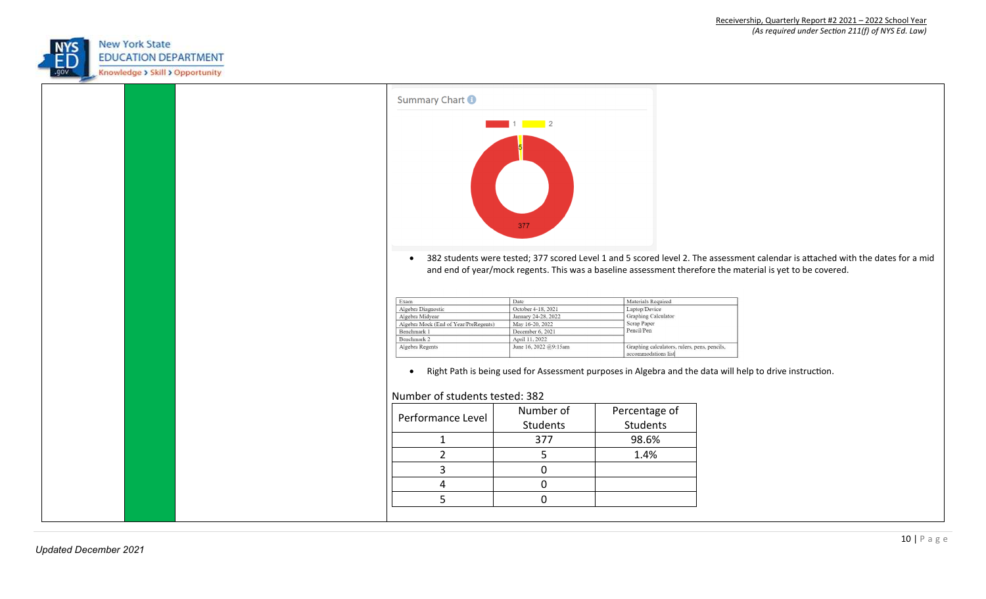

|  |  |  | Summary Chart <sup>1</sup>                                       |                                                                                                                         |                                                                                                                                                                                                                                              |  |  |
|--|--|--|------------------------------------------------------------------|-------------------------------------------------------------------------------------------------------------------------|----------------------------------------------------------------------------------------------------------------------------------------------------------------------------------------------------------------------------------------------|--|--|
|  |  |  | $\bullet$                                                        | $\begin{array}{ c c c c c c }\n\hline\n\textbf{1} & \textbf{1} & \textbf{1} & \textbf{2} \\ \hline\n\end{array}$<br>377 | 382 students were tested; 377 scored Level 1 and 5 scored level 2. The assessment calendar is attached with the dates for a mid<br>and end of year/mock regents. This was a baseline assessment therefore the material is yet to be covered. |  |  |
|  |  |  |                                                                  |                                                                                                                         |                                                                                                                                                                                                                                              |  |  |
|  |  |  |                                                                  |                                                                                                                         |                                                                                                                                                                                                                                              |  |  |
|  |  |  | Exam                                                             | Date                                                                                                                    | Materials Required                                                                                                                                                                                                                           |  |  |
|  |  |  | Algebra Diagnostic                                               | October 4-18, 2021                                                                                                      | Laptop/Device                                                                                                                                                                                                                                |  |  |
|  |  |  | Algebra Midyear                                                  | January 24-28, 2022                                                                                                     | Graphing Calculator                                                                                                                                                                                                                          |  |  |
|  |  |  | Algebra Mock (End of Year/PreRegents)                            | May 16-20, 2022                                                                                                         | Scrap Paper                                                                                                                                                                                                                                  |  |  |
|  |  |  | Benchmark 1                                                      | December 6, 2021                                                                                                        | Pencil/Pen                                                                                                                                                                                                                                   |  |  |
|  |  |  | Benchmark 2<br>Algebra Regents                                   | April 11, 2022<br>June 16, 2022 @9:15am                                                                                 | Graphing calculators, rulers, pens, pencils,<br>accommodations list                                                                                                                                                                          |  |  |
|  |  |  | $\bullet$<br>Number of students tested: 382<br>Performance Level | Number of                                                                                                               | Right Path is being used for Assessment purposes in Algebra and the data will help to drive instruction.<br>Percentage of                                                                                                                    |  |  |
|  |  |  |                                                                  | Students                                                                                                                | Students                                                                                                                                                                                                                                     |  |  |
|  |  |  | $\mathbf 1$                                                      | 377                                                                                                                     | 98.6%                                                                                                                                                                                                                                        |  |  |
|  |  |  | $\overline{2}$                                                   | 5                                                                                                                       | 1.4%                                                                                                                                                                                                                                         |  |  |
|  |  |  | $\overline{3}$                                                   | $\pmb{0}$                                                                                                               |                                                                                                                                                                                                                                              |  |  |
|  |  |  | $\overline{4}$<br>5                                              | 0<br>0                                                                                                                  |                                                                                                                                                                                                                                              |  |  |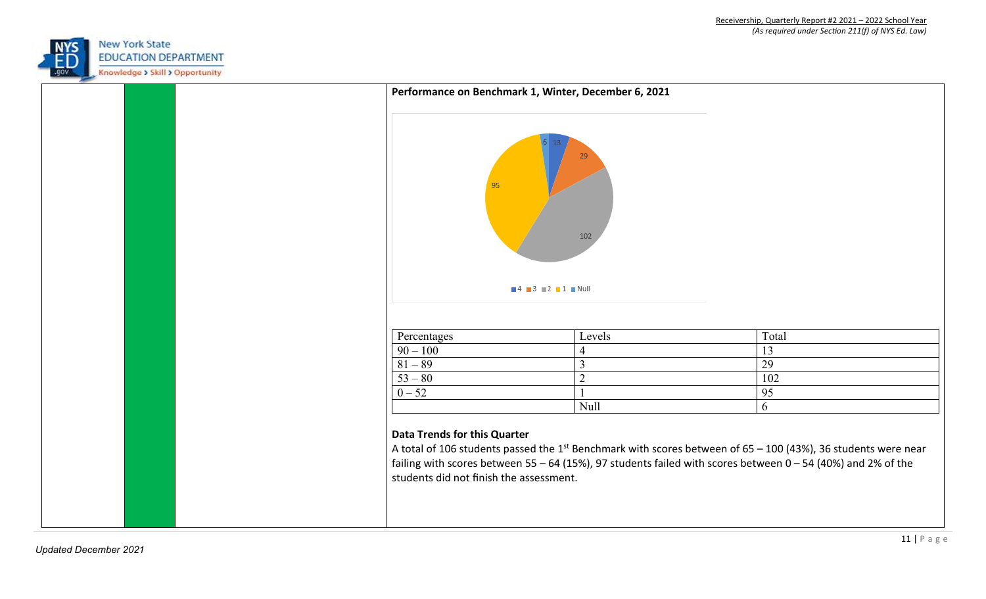

|  | Performance on Benchmark 1, Winter, December 6, 2021                                                                                                                                             |                |                                                                                                                             |
|--|--------------------------------------------------------------------------------------------------------------------------------------------------------------------------------------------------|----------------|-----------------------------------------------------------------------------------------------------------------------------|
|  | 95<br>$4$ $3$ $2$ $1$ $N$ ull                                                                                                                                                                    | 29<br>$102\,$  |                                                                                                                             |
|  | Percentages                                                                                                                                                                                      | Levels         | Total                                                                                                                       |
|  | $90 - 100$                                                                                                                                                                                       | $\overline{4}$ | 13                                                                                                                          |
|  | $81 - 89$                                                                                                                                                                                        | $\overline{3}$ | $\overline{29}$                                                                                                             |
|  | $53 - 80$                                                                                                                                                                                        | $\sqrt{2}$     | 102                                                                                                                         |
|  | $0 - 52$                                                                                                                                                                                         |                | 95                                                                                                                          |
|  |                                                                                                                                                                                                  | Null           | 6                                                                                                                           |
|  | <b>Data Trends for this Quarter</b><br>failing with scores between 55 - 64 (15%), 97 students failed with scores between $0 - 54$ (40%) and 2% of the<br>students did not finish the assessment. |                | A total of 106 students passed the 1 <sup>st</sup> Benchmark with scores between of $65 - 100$ (43%), 36 students were near |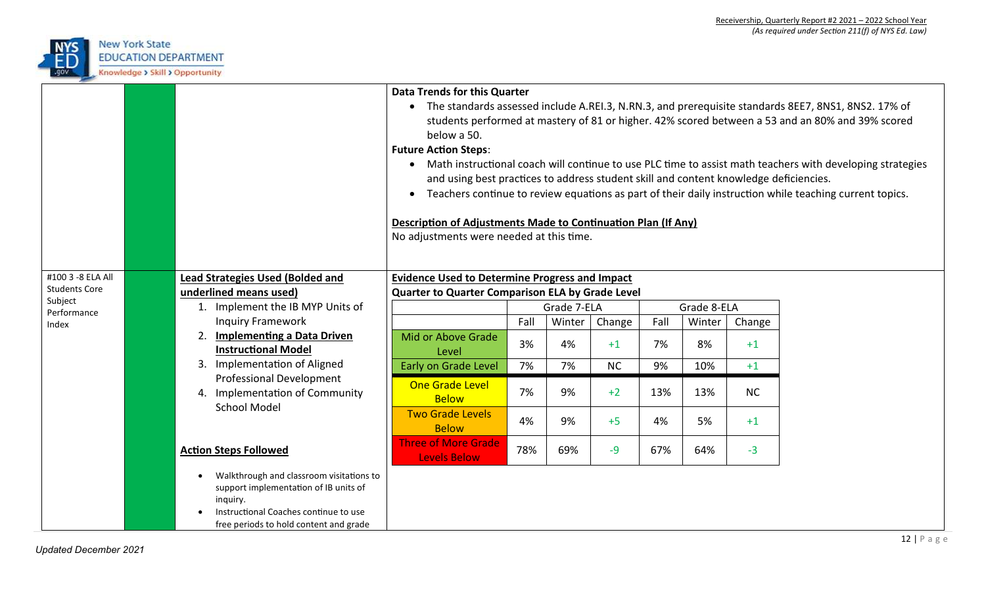

|                                 |                                                                                                                                        | <b>Data Trends for this Quarter</b><br>below a 50.<br><b>Future Action Steps:</b>                         |                                                       |             |           |      |             |           | The standards assessed include A.REI.3, N.RN.3, and prerequisite standards 8EE7, 8NS1, 8NS2. 17% of<br>students performed at mastery of 81 or higher. 42% scored between a 53 and an 80% and 39% scored                  |  |
|---------------------------------|----------------------------------------------------------------------------------------------------------------------------------------|-----------------------------------------------------------------------------------------------------------|-------------------------------------------------------|-------------|-----------|------|-------------|-----------|--------------------------------------------------------------------------------------------------------------------------------------------------------------------------------------------------------------------------|--|
|                                 |                                                                                                                                        | and using best practices to address student skill and content knowledge deficiencies.                     |                                                       |             |           |      |             |           | • Math instructional coach will continue to use PLC time to assist math teachers with developing strategies<br>• Teachers continue to review equations as part of their daily instruction while teaching current topics. |  |
|                                 |                                                                                                                                        | Description of Adjustments Made to Continuation Plan (If Any)<br>No adjustments were needed at this time. |                                                       |             |           |      |             |           |                                                                                                                                                                                                                          |  |
| #100 3 -8 ELA All               | <b>Lead Strategies Used (Bolded and</b>                                                                                                |                                                                                                           | <b>Evidence Used to Determine Progress and Impact</b> |             |           |      |             |           |                                                                                                                                                                                                                          |  |
| <b>Students Core</b><br>Subject | underlined means used)                                                                                                                 |                                                                                                           | Quarter to Quarter Comparison ELA by Grade Level      |             |           |      |             |           |                                                                                                                                                                                                                          |  |
| Performance                     | 1. Implement the IB MYP Units of                                                                                                       |                                                                                                           |                                                       | Grade 7-ELA |           |      | Grade 8-ELA |           |                                                                                                                                                                                                                          |  |
| Index                           | <b>Inquiry Framework</b>                                                                                                               |                                                                                                           | Fall                                                  | Winter      | Change    | Fall | Winter      | Change    |                                                                                                                                                                                                                          |  |
|                                 | <b>Implementing a Data Driven</b><br>2.<br><b>Instructional Model</b>                                                                  | Mid or Above Grade<br>Level                                                                               | 3%                                                    | 4%          | $+1$      | 7%   | 8%          | $+1$      |                                                                                                                                                                                                                          |  |
|                                 | 3. Implementation of Aligned                                                                                                           | Early on Grade Level                                                                                      | 7%                                                    | 7%          | <b>NC</b> | 9%   | 10%         | $+1$      |                                                                                                                                                                                                                          |  |
|                                 | Professional Development<br>4. Implementation of Community<br>School Model                                                             | <b>One Grade Level</b><br><b>Below</b>                                                                    | 7%                                                    | 9%          | $+2$      | 13%  | 13%         | <b>NC</b> |                                                                                                                                                                                                                          |  |
|                                 |                                                                                                                                        | <b>Two Grade Levels</b><br><b>Below</b>                                                                   | 4%                                                    | 9%          | $+5$      | 4%   | 5%          | $+1$      |                                                                                                                                                                                                                          |  |
|                                 | <b>Action Steps Followed</b>                                                                                                           | <b>Three of More Grade</b><br><b>Levels Below</b>                                                         | 78%                                                   | 69%         | $-9$      | 67%  | 64%         | $-3$      |                                                                                                                                                                                                                          |  |
|                                 | Walkthrough and classroom visitations to<br>support implementation of IB units of<br>inquiry.<br>Instructional Coaches continue to use |                                                                                                           |                                                       |             |           |      |             |           |                                                                                                                                                                                                                          |  |
|                                 | free periods to hold content and grade                                                                                                 |                                                                                                           |                                                       |             |           |      |             |           |                                                                                                                                                                                                                          |  |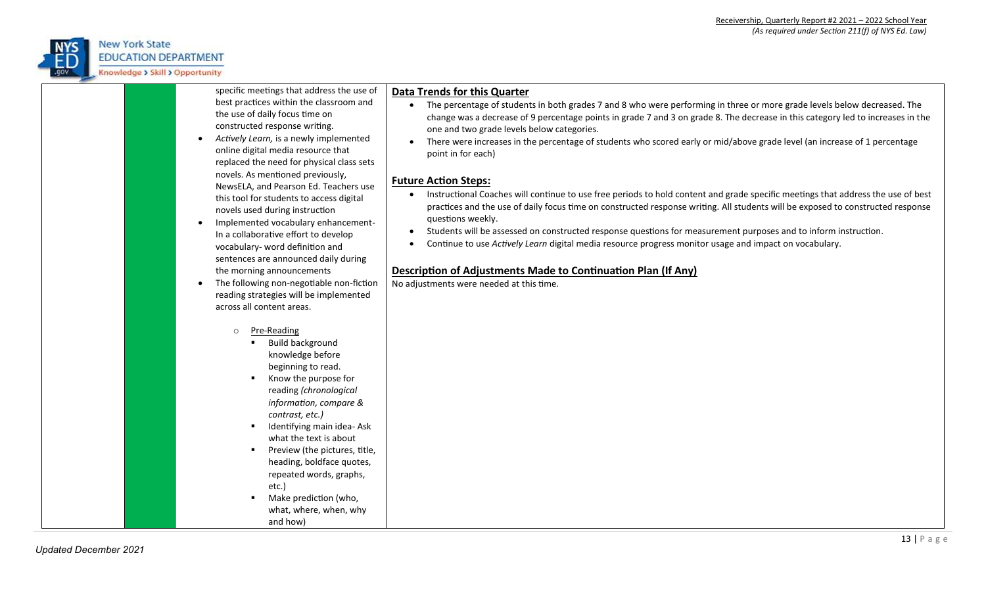

|  |  | LDOCATION DEFAILIVIEN           |  |  |  |
|--|--|---------------------------------|--|--|--|
|  |  | Knowledge & Chill & Opportunity |  |  |  |

| specific meetings that address the use of<br>best practices within the classroom and<br>the use of daily focus time on<br>constructed response writing.<br>Actively Learn, is a newly implemented<br>online digital media resource that<br>replaced the need for physical class sets<br>novels. As mentioned previously,<br>NewsELA, and Pearson Ed. Teachers use<br>this tool for students to access digital<br>novels used during instruction<br>Implemented vocabulary enhancement-<br>In a collaborative effort to develop<br>vocabulary- word definition and<br>sentences are announced daily during<br>the morning announcements<br>The following non-negotiable non-fiction<br>reading strategies will be implemented<br>across all content areas. | Data Trends for this Quarter<br>The percentage of students in both grades 7 and 8 who were performing in three or more grade levels below decreased. The<br>change was a decrease of 9 percentage points in grade 7 and 3 on grade 8. The decrease in this category led to increases in the<br>one and two grade levels below categories.<br>There were increases in the percentage of students who scored early or mid/above grade level (an increase of 1 percentage<br>point in for each)<br><b>Future Action Steps:</b><br>Instructional Coaches will continue to use free periods to hold content and grade specific meetings that address the use of best<br>practices and the use of daily focus time on constructed response writing. All students will be exposed to constructed response<br>questions weekly.<br>Students will be assessed on constructed response questions for measurement purposes and to inform instruction.<br>$\bullet$<br>Continue to use Actively Learn digital media resource progress monitor usage and impact on vocabulary.<br>$\bullet$<br>Description of Adjustments Made to Continuation Plan (If Any)<br>No adjustments were needed at this time. |
|-----------------------------------------------------------------------------------------------------------------------------------------------------------------------------------------------------------------------------------------------------------------------------------------------------------------------------------------------------------------------------------------------------------------------------------------------------------------------------------------------------------------------------------------------------------------------------------------------------------------------------------------------------------------------------------------------------------------------------------------------------------|---------------------------------------------------------------------------------------------------------------------------------------------------------------------------------------------------------------------------------------------------------------------------------------------------------------------------------------------------------------------------------------------------------------------------------------------------------------------------------------------------------------------------------------------------------------------------------------------------------------------------------------------------------------------------------------------------------------------------------------------------------------------------------------------------------------------------------------------------------------------------------------------------------------------------------------------------------------------------------------------------------------------------------------------------------------------------------------------------------------------------------------------------------------------------------------------|
| Pre-Reading<br>$\circ$<br><b>Build background</b><br>knowledge before<br>beginning to read.<br>Know the purpose for<br>reading (chronological<br>information, compare &<br>contrast, etc.)<br>Identifying main idea- Ask<br>what the text is about<br>Preview (the pictures, title,<br>heading, boldface quotes,<br>repeated words, graphs,<br>etc.)<br>Make prediction (who,<br>what, where, when, why<br>and how)                                                                                                                                                                                                                                                                                                                                       |                                                                                                                                                                                                                                                                                                                                                                                                                                                                                                                                                                                                                                                                                                                                                                                                                                                                                                                                                                                                                                                                                                                                                                                             |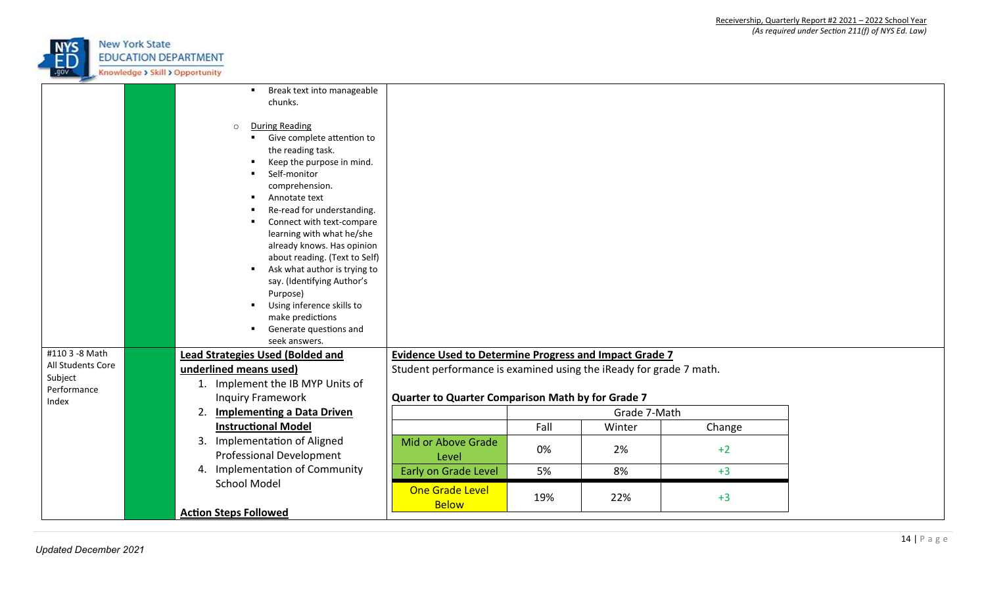

|                      | Break text into manageable                                                                                                                                                                                                                                                                                                                                                                                                                                                                                                             |                                                                    |      |              |        |  |
|----------------------|----------------------------------------------------------------------------------------------------------------------------------------------------------------------------------------------------------------------------------------------------------------------------------------------------------------------------------------------------------------------------------------------------------------------------------------------------------------------------------------------------------------------------------------|--------------------------------------------------------------------|------|--------------|--------|--|
|                      | chunks.                                                                                                                                                                                                                                                                                                                                                                                                                                                                                                                                |                                                                    |      |              |        |  |
|                      | <b>During Reading</b><br>$\circ$<br>Give complete attention to<br>٠<br>the reading task.<br>Keep the purpose in mind.<br>Self-monitor<br>comprehension.<br>Annotate text<br>٠<br>Re-read for understanding.<br>Connect with text-compare<br>learning with what he/she<br>already knows. Has opinion<br>about reading. (Text to Self)<br>Ask what author is trying to<br>٠<br>say. (Identifying Author's<br>Purpose)<br>Using inference skills to<br>$\blacksquare$<br>make predictions<br>Generate questions and<br>٠<br>seek answers. |                                                                    |      |              |        |  |
| #110 3 -8 Math       | <b>Lead Strategies Used (Bolded and</b>                                                                                                                                                                                                                                                                                                                                                                                                                                                                                                | <b>Evidence Used to Determine Progress and Impact Grade 7</b>      |      |              |        |  |
| All Students Core    | underlined means used)                                                                                                                                                                                                                                                                                                                                                                                                                                                                                                                 | Student performance is examined using the iReady for grade 7 math. |      |              |        |  |
| Subject              | 1. Implement the IB MYP Units of                                                                                                                                                                                                                                                                                                                                                                                                                                                                                                       |                                                                    |      |              |        |  |
| Performance<br>Index | <b>Inquiry Framework</b>                                                                                                                                                                                                                                                                                                                                                                                                                                                                                                               | Quarter to Quarter Comparison Math by for Grade 7                  |      |              |        |  |
|                      | <b>Implementing a Data Driven</b><br>2.                                                                                                                                                                                                                                                                                                                                                                                                                                                                                                |                                                                    |      | Grade 7-Math |        |  |
|                      | <b>Instructional Model</b>                                                                                                                                                                                                                                                                                                                                                                                                                                                                                                             |                                                                    | Fall | Winter       | Change |  |
|                      | 3. Implementation of Aligned                                                                                                                                                                                                                                                                                                                                                                                                                                                                                                           | Mid or Above Grade                                                 |      |              |        |  |
|                      | <b>Professional Development</b>                                                                                                                                                                                                                                                                                                                                                                                                                                                                                                        | Level                                                              | 0%   | 2%           | $+2$   |  |
|                      | 4. Implementation of Community                                                                                                                                                                                                                                                                                                                                                                                                                                                                                                         | Early on Grade Level                                               | 5%   | 8%           | $+3$   |  |
|                      | <b>School Model</b><br><b>Action Steps Followed</b>                                                                                                                                                                                                                                                                                                                                                                                                                                                                                    | One Grade Level<br><b>Below</b>                                    | 19%  | 22%          | $+3$   |  |
|                      |                                                                                                                                                                                                                                                                                                                                                                                                                                                                                                                                        |                                                                    |      |              |        |  |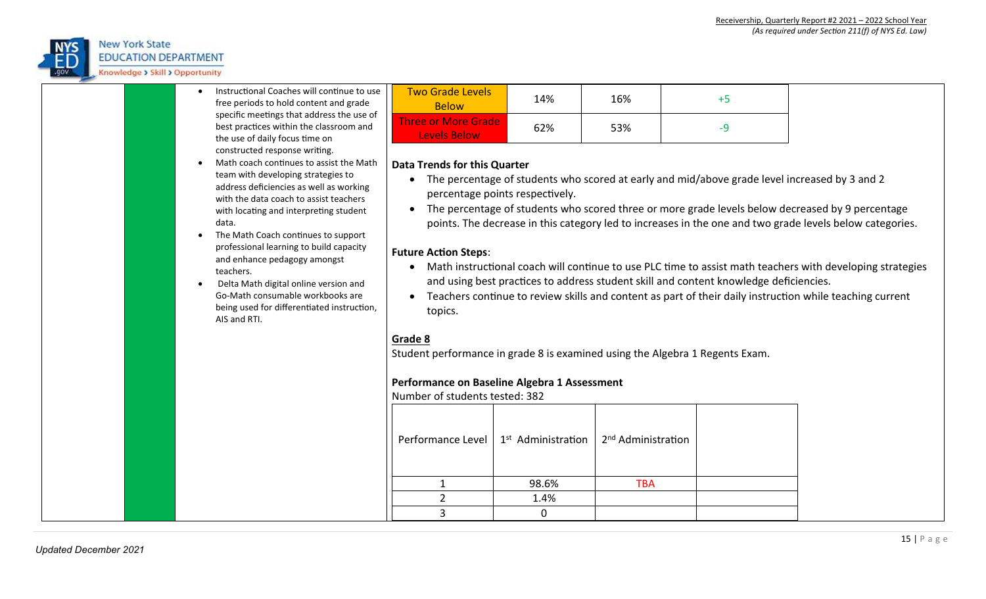

# **EDUCATION DEPARTMENT**

Knowledge > Skill > Opportunity

| Instructional Coaches will continue to use<br>free periods to hold content and grade<br>specific meetings that address the use of<br>best practices within the classroom and                                                                                                                                                                                                                                                                                                                                                                                       | <b>Two Grade Levels</b><br><b>Below</b><br><b>Three or More Grade</b><br><b>Levels Below</b>                                                                               | 14%<br>62%                      | 16%<br>53%                     | $+5$<br>$-9$                                                                                                                                                                                                                                                                                                                                                                                                                                                                             |                                                                                                                                                                                                                       |
|--------------------------------------------------------------------------------------------------------------------------------------------------------------------------------------------------------------------------------------------------------------------------------------------------------------------------------------------------------------------------------------------------------------------------------------------------------------------------------------------------------------------------------------------------------------------|----------------------------------------------------------------------------------------------------------------------------------------------------------------------------|---------------------------------|--------------------------------|------------------------------------------------------------------------------------------------------------------------------------------------------------------------------------------------------------------------------------------------------------------------------------------------------------------------------------------------------------------------------------------------------------------------------------------------------------------------------------------|-----------------------------------------------------------------------------------------------------------------------------------------------------------------------------------------------------------------------|
| the use of daily focus time on<br>constructed response writing.<br>Math coach continues to assist the Math<br>team with developing strategies to<br>address deficiencies as well as working<br>with the data coach to assist teachers<br>with locating and interpreting student<br>data.<br>The Math Coach continues to support<br>professional learning to build capacity<br>and enhance pedagogy amongst<br>teachers.<br>Delta Math digital online version and<br>Go-Math consumable workbooks are<br>being used for differentiated instruction,<br>AIS and RTI. | <b>Data Trends for this Quarter</b><br><b>Future Action Steps:</b><br>topics.<br>Grade 8<br>Performance on Baseline Algebra 1 Assessment<br>Number of students tested: 382 | percentage points respectively. |                                | • The percentage of students who scored at early and mid/above grade level increased by 3 and 2<br>The percentage of students who scored three or more grade levels below decreased by 9 percentage<br>and using best practices to address student skill and content knowledge deficiencies.<br>Teachers continue to review skills and content as part of their daily instruction while teaching current<br>Student performance in grade 8 is examined using the Algebra 1 Regents Exam. | points. The decrease in this category led to increases in the one and two grade levels below categories.<br>Math instructional coach will continue to use PLC time to assist math teachers with developing strategies |
|                                                                                                                                                                                                                                                                                                                                                                                                                                                                                                                                                                    | Performance Level                                                                                                                                                          | 1 <sup>st</sup> Administration  | 2 <sup>nd</sup> Administration |                                                                                                                                                                                                                                                                                                                                                                                                                                                                                          |                                                                                                                                                                                                                       |
|                                                                                                                                                                                                                                                                                                                                                                                                                                                                                                                                                                    | $\mathbf{1}$                                                                                                                                                               | 98.6%                           | <b>TBA</b>                     |                                                                                                                                                                                                                                                                                                                                                                                                                                                                                          |                                                                                                                                                                                                                       |
|                                                                                                                                                                                                                                                                                                                                                                                                                                                                                                                                                                    | $\overline{2}$                                                                                                                                                             | 1.4%                            |                                |                                                                                                                                                                                                                                                                                                                                                                                                                                                                                          |                                                                                                                                                                                                                       |
|                                                                                                                                                                                                                                                                                                                                                                                                                                                                                                                                                                    | 3                                                                                                                                                                          | 0                               |                                |                                                                                                                                                                                                                                                                                                                                                                                                                                                                                          |                                                                                                                                                                                                                       |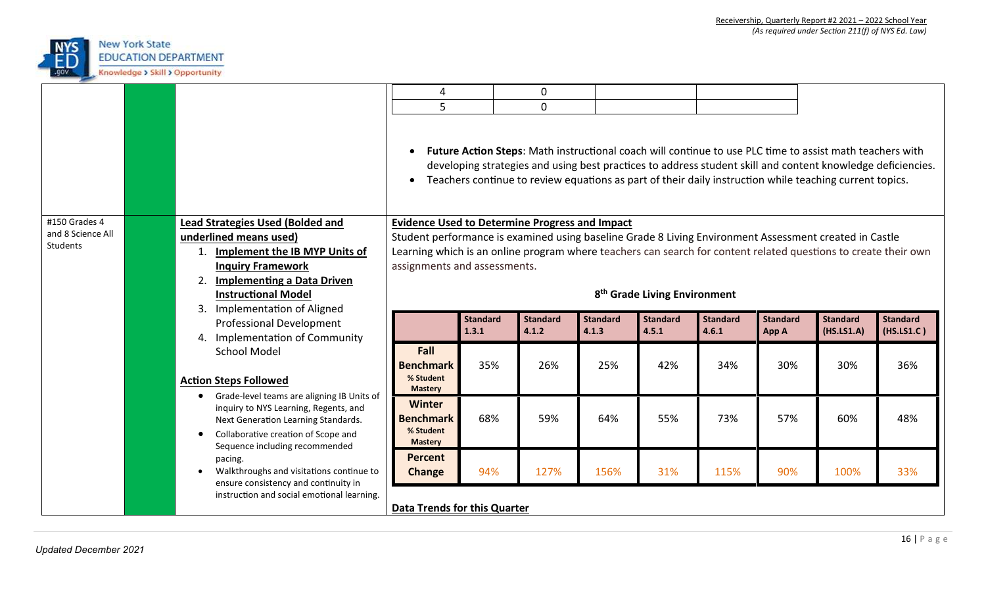

|                                    |                                                                                                                                                                   | 4                                                                                                      |                                                                                                                                                 | $\mathbf 0$     |                 |                 |                 |                 |                                                                                                                                                                                                                                                                                                                                    |                 |  |
|------------------------------------|-------------------------------------------------------------------------------------------------------------------------------------------------------------------|--------------------------------------------------------------------------------------------------------|-------------------------------------------------------------------------------------------------------------------------------------------------|-----------------|-----------------|-----------------|-----------------|-----------------|------------------------------------------------------------------------------------------------------------------------------------------------------------------------------------------------------------------------------------------------------------------------------------------------------------------------------------|-----------------|--|
|                                    |                                                                                                                                                                   | 5                                                                                                      |                                                                                                                                                 | $\mathbf 0$     |                 |                 |                 |                 |                                                                                                                                                                                                                                                                                                                                    |                 |  |
|                                    |                                                                                                                                                                   | $\bullet$<br>$\bullet$                                                                                 |                                                                                                                                                 |                 |                 |                 |                 |                 | Future Action Steps: Math instructional coach will continue to use PLC time to assist math teachers with<br>developing strategies and using best practices to address student skill and content knowledge deficiencies.<br>Teachers continue to review equations as part of their daily instruction while teaching current topics. |                 |  |
| #150 Grades 4<br>and 8 Science All | <b>Lead Strategies Used (Bolded and</b>                                                                                                                           | <b>Evidence Used to Determine Progress and Impact</b>                                                  |                                                                                                                                                 |                 |                 |                 |                 |                 |                                                                                                                                                                                                                                                                                                                                    |                 |  |
| <b>Students</b>                    | underlined means used)                                                                                                                                            | Student performance is examined using baseline Grade 8 Living Environment Assessment created in Castle |                                                                                                                                                 |                 |                 |                 |                 |                 |                                                                                                                                                                                                                                                                                                                                    |                 |  |
|                                    | Implement the IB MYP Units of                                                                                                                                     |                                                                                                        | Learning which is an online program where teachers can search for content related questions to create their own<br>assignments and assessments. |                 |                 |                 |                 |                 |                                                                                                                                                                                                                                                                                                                                    |                 |  |
|                                    | <b>Inquiry Framework</b><br>2.<br><b>Implementing a Data Driven</b>                                                                                               |                                                                                                        |                                                                                                                                                 |                 |                 |                 |                 |                 |                                                                                                                                                                                                                                                                                                                                    |                 |  |
|                                    | <b>Instructional Model</b>                                                                                                                                        | 8 <sup>th</sup> Grade Living Environment                                                               |                                                                                                                                                 |                 |                 |                 |                 |                 |                                                                                                                                                                                                                                                                                                                                    |                 |  |
|                                    | 3.<br>Implementation of Aligned                                                                                                                                   |                                                                                                        |                                                                                                                                                 |                 |                 |                 |                 |                 |                                                                                                                                                                                                                                                                                                                                    |                 |  |
|                                    | <b>Professional Development</b>                                                                                                                                   |                                                                                                        | <b>Standard</b>                                                                                                                                 | <b>Standard</b> | <b>Standard</b> | <b>Standard</b> | <b>Standard</b> | <b>Standard</b> | <b>Standard</b>                                                                                                                                                                                                                                                                                                                    | <b>Standard</b> |  |
|                                    | 4. Implementation of Community                                                                                                                                    |                                                                                                        | 1.3.1                                                                                                                                           | 4.1.2           | 4.1.3           | 4.5.1           | 4.6.1           | App A           | (HS.LS1.A)                                                                                                                                                                                                                                                                                                                         | (HS.LS1.C)      |  |
|                                    | School Model                                                                                                                                                      | Fall                                                                                                   |                                                                                                                                                 |                 |                 |                 |                 |                 |                                                                                                                                                                                                                                                                                                                                    |                 |  |
|                                    |                                                                                                                                                                   | <b>Benchmark</b>                                                                                       | 35%                                                                                                                                             | 26%             | 25%             | 42%             | 34%             | 30%             | 30%                                                                                                                                                                                                                                                                                                                                | 36%             |  |
|                                    | <b>Action Steps Followed</b>                                                                                                                                      | % Student<br><b>Mastery</b>                                                                            |                                                                                                                                                 |                 |                 |                 |                 |                 |                                                                                                                                                                                                                                                                                                                                    |                 |  |
|                                    | Grade-level teams are aligning IB Units of<br>inquiry to NYS Learning, Regents, and<br>Next Generation Learning Standards.<br>Collaborative creation of Scope and | <b>Winter</b><br><b>Benchmark</b><br>% Student<br><b>Mastery</b>                                       | 68%                                                                                                                                             | 59%             | 64%             | 55%             | 73%             | 57%             | 60%                                                                                                                                                                                                                                                                                                                                | 48%             |  |
|                                    | Sequence including recommended<br>pacing.<br>Walkthroughs and visitations continue to<br>ensure consistency and continuity in                                     | <b>Percent</b><br>Change                                                                               | 94%                                                                                                                                             | 127%            | 156%            | 31%             | 115%            | 90%             | 100%                                                                                                                                                                                                                                                                                                                               | 33%             |  |
|                                    | instruction and social emotional learning.                                                                                                                        | <b>Data Trends for this Quarter</b>                                                                    |                                                                                                                                                 |                 |                 |                 |                 |                 |                                                                                                                                                                                                                                                                                                                                    |                 |  |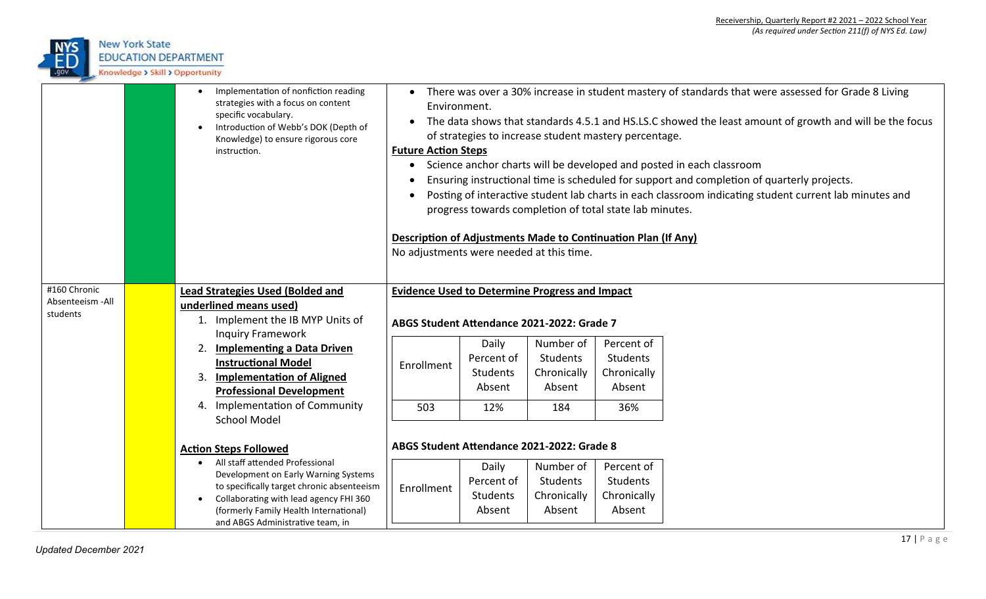

|                               | Implementation of nonfiction reading<br>strategies with a focus on content<br>specific vocabulary.<br>Introduction of Webb's DOK (Depth of<br>Knowledge) to ensure rigorous core<br>instruction. | Environment.<br>$\bullet$<br><b>Future Action Steps</b><br>Description of Adjustments Made to Continuation Plan (If Any)<br>No adjustments were needed at this time. |                     |                       | of strategies to increase student mastery percentage.<br>progress towards completion of total state lab minutes. | There was over a 30% increase in student mastery of standards that were assessed for Grade 8 Living<br>The data shows that standards 4.5.1 and HS.LS.C showed the least amount of growth and will be the focus<br>Science anchor charts will be developed and posted in each classroom<br>Ensuring instructional time is scheduled for support and completion of quarterly projects.<br>Posting of interactive student lab charts in each classroom indicating student current lab minutes and |
|-------------------------------|--------------------------------------------------------------------------------------------------------------------------------------------------------------------------------------------------|----------------------------------------------------------------------------------------------------------------------------------------------------------------------|---------------------|-----------------------|------------------------------------------------------------------------------------------------------------------|------------------------------------------------------------------------------------------------------------------------------------------------------------------------------------------------------------------------------------------------------------------------------------------------------------------------------------------------------------------------------------------------------------------------------------------------------------------------------------------------|
| #160 Chronic                  | <b>Lead Strategies Used (Bolded and</b>                                                                                                                                                          | <b>Evidence Used to Determine Progress and Impact</b>                                                                                                                |                     |                       |                                                                                                                  |                                                                                                                                                                                                                                                                                                                                                                                                                                                                                                |
| Absenteeism - All<br>students | underlined means used)                                                                                                                                                                           |                                                                                                                                                                      |                     |                       |                                                                                                                  |                                                                                                                                                                                                                                                                                                                                                                                                                                                                                                |
|                               | 1. Implement the IB MYP Units of                                                                                                                                                                 | ABGS Student Attendance 2021-2022: Grade 7                                                                                                                           |                     |                       |                                                                                                                  |                                                                                                                                                                                                                                                                                                                                                                                                                                                                                                |
|                               | <b>Inquiry Framework</b>                                                                                                                                                                         |                                                                                                                                                                      |                     |                       |                                                                                                                  |                                                                                                                                                                                                                                                                                                                                                                                                                                                                                                |
|                               | <b>Implementing a Data Driven</b><br>2.                                                                                                                                                          |                                                                                                                                                                      | Daily<br>Percent of | Number of<br>Students | Percent of<br>Students                                                                                           |                                                                                                                                                                                                                                                                                                                                                                                                                                                                                                |
|                               | <b>Instructional Model</b>                                                                                                                                                                       | Enrollment                                                                                                                                                           | <b>Students</b>     | Chronically           | Chronically                                                                                                      |                                                                                                                                                                                                                                                                                                                                                                                                                                                                                                |
|                               | 3.<br><b>Implementation of Aligned</b>                                                                                                                                                           |                                                                                                                                                                      | Absent              | Absent                | Absent                                                                                                           |                                                                                                                                                                                                                                                                                                                                                                                                                                                                                                |
|                               | <b>Professional Development</b>                                                                                                                                                                  |                                                                                                                                                                      |                     |                       |                                                                                                                  |                                                                                                                                                                                                                                                                                                                                                                                                                                                                                                |
|                               | Implementation of Community<br>4.<br><b>School Model</b>                                                                                                                                         | 503                                                                                                                                                                  | 12%                 | 184                   | 36%                                                                                                              |                                                                                                                                                                                                                                                                                                                                                                                                                                                                                                |
|                               |                                                                                                                                                                                                  |                                                                                                                                                                      |                     |                       |                                                                                                                  |                                                                                                                                                                                                                                                                                                                                                                                                                                                                                                |
|                               | <b>Action Steps Followed</b>                                                                                                                                                                     | ABGS Student Attendance 2021-2022: Grade 8                                                                                                                           |                     |                       |                                                                                                                  |                                                                                                                                                                                                                                                                                                                                                                                                                                                                                                |
|                               | All staff attended Professional                                                                                                                                                                  |                                                                                                                                                                      | Daily               | Number of             | Percent of                                                                                                       |                                                                                                                                                                                                                                                                                                                                                                                                                                                                                                |
|                               | Development on Early Warning Systems<br>to specifically target chronic absenteeism                                                                                                               | Enrollment                                                                                                                                                           | Percent of          | Students              | <b>Students</b>                                                                                                  |                                                                                                                                                                                                                                                                                                                                                                                                                                                                                                |
|                               | Collaborating with lead agency FHI 360                                                                                                                                                           |                                                                                                                                                                      | Students            | Chronically           | Chronically                                                                                                      |                                                                                                                                                                                                                                                                                                                                                                                                                                                                                                |
|                               | (formerly Family Health International)                                                                                                                                                           |                                                                                                                                                                      | Absent              | Absent                | Absent                                                                                                           |                                                                                                                                                                                                                                                                                                                                                                                                                                                                                                |
|                               | and ABGS Administrative team, in                                                                                                                                                                 |                                                                                                                                                                      |                     |                       |                                                                                                                  |                                                                                                                                                                                                                                                                                                                                                                                                                                                                                                |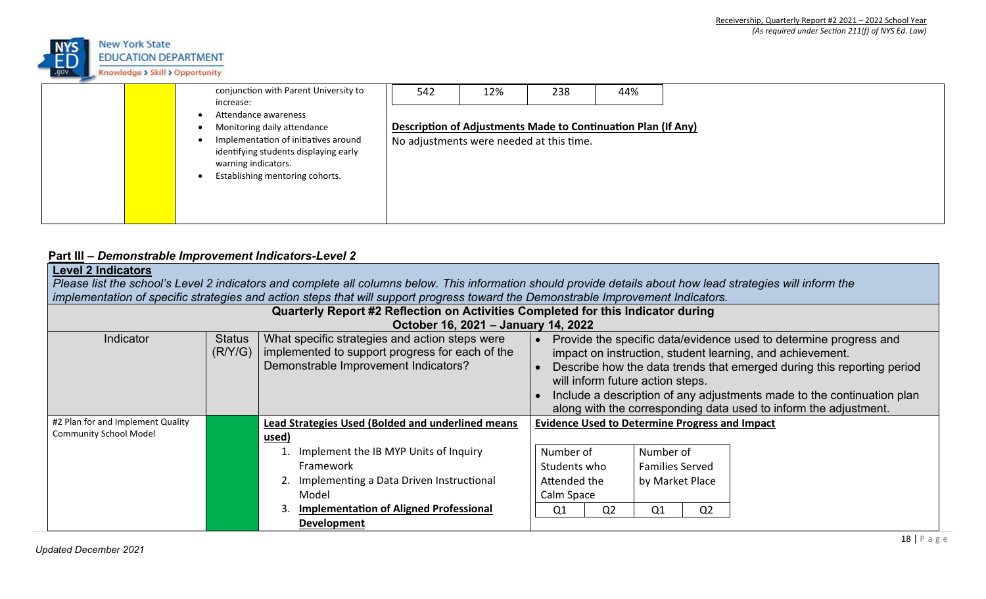

|  | conjunction with Parent University to<br>increase:                                                                                                                                             | 542                                                                                                       | 12% | 238 | 44% |  |
|--|------------------------------------------------------------------------------------------------------------------------------------------------------------------------------------------------|-----------------------------------------------------------------------------------------------------------|-----|-----|-----|--|
|  | Attendance awareness<br>Monitoring daily attendance<br>Implementation of initiatives around<br>identifying students displaying early<br>warning indicators.<br>Establishing mentoring cohorts. | Description of Adjustments Made to Continuation Plan (If Any)<br>No adjustments were needed at this time. |     |     |     |  |
|  |                                                                                                                                                                                                |                                                                                                           |     |     |     |  |

# **Part III –** *Demonstrable Improvement Indicators-Level 2*

| <b>Level 2 Indicators</b>         |                                                                                                                                                               |                                                                                                   |                                                                                                                                            |                        |                |  |  |  |  |
|-----------------------------------|---------------------------------------------------------------------------------------------------------------------------------------------------------------|---------------------------------------------------------------------------------------------------|--------------------------------------------------------------------------------------------------------------------------------------------|------------------------|----------------|--|--|--|--|
|                                   | Please list the school's Level 2 indicators and complete all columns below. This information should provide details about how lead strategies will inform the |                                                                                                   |                                                                                                                                            |                        |                |  |  |  |  |
|                                   | implementation of specific strategies and action steps that will support progress toward the Demonstrable Improvement Indicators.                             |                                                                                                   |                                                                                                                                            |                        |                |  |  |  |  |
|                                   | Quarterly Report #2 Reflection on Activities Completed for this Indicator during                                                                              |                                                                                                   |                                                                                                                                            |                        |                |  |  |  |  |
|                                   | October 16, 2021 - January 14, 2022                                                                                                                           |                                                                                                   |                                                                                                                                            |                        |                |  |  |  |  |
| Indicator                         | <b>Status</b><br>(R/Y/G)                                                                                                                                      | What specific strategies and action steps were<br>implemented to support progress for each of the | Provide the specific data/evidence used to determine progress and<br>impact on instruction, student learning, and achievement.             |                        |                |  |  |  |  |
|                                   |                                                                                                                                                               | Demonstrable Improvement Indicators?                                                              | Describe how the data trends that emerged during this reporting period<br>will inform future action steps.                                 |                        |                |  |  |  |  |
|                                   |                                                                                                                                                               |                                                                                                   | Include a description of any adjustments made to the continuation plan<br>along with the corresponding data used to inform the adjustment. |                        |                |  |  |  |  |
| #2 Plan for and Implement Quality |                                                                                                                                                               | <b>Lead Strategies Used (Bolded and underlined means</b>                                          | <b>Evidence Used to Determine Progress and Impact</b>                                                                                      |                        |                |  |  |  |  |
| <b>Community School Model</b>     |                                                                                                                                                               | <u>used)</u>                                                                                      |                                                                                                                                            |                        |                |  |  |  |  |
|                                   |                                                                                                                                                               | Implement the IB MYP Units of Inquiry                                                             | Number of                                                                                                                                  | Number of              |                |  |  |  |  |
|                                   |                                                                                                                                                               | Framework                                                                                         | Students who                                                                                                                               | <b>Families Served</b> |                |  |  |  |  |
|                                   |                                                                                                                                                               | Implementing a Data Driven Instructional                                                          | Attended the                                                                                                                               | by Market Place        |                |  |  |  |  |
|                                   |                                                                                                                                                               | Model                                                                                             | Calm Space                                                                                                                                 |                        |                |  |  |  |  |
|                                   |                                                                                                                                                               | <b>Implementation of Aligned Professional</b>                                                     | Q <sub>2</sub><br>Q1                                                                                                                       | Q1                     | Q <sub>2</sub> |  |  |  |  |
|                                   |                                                                                                                                                               | <b>Development</b>                                                                                |                                                                                                                                            |                        |                |  |  |  |  |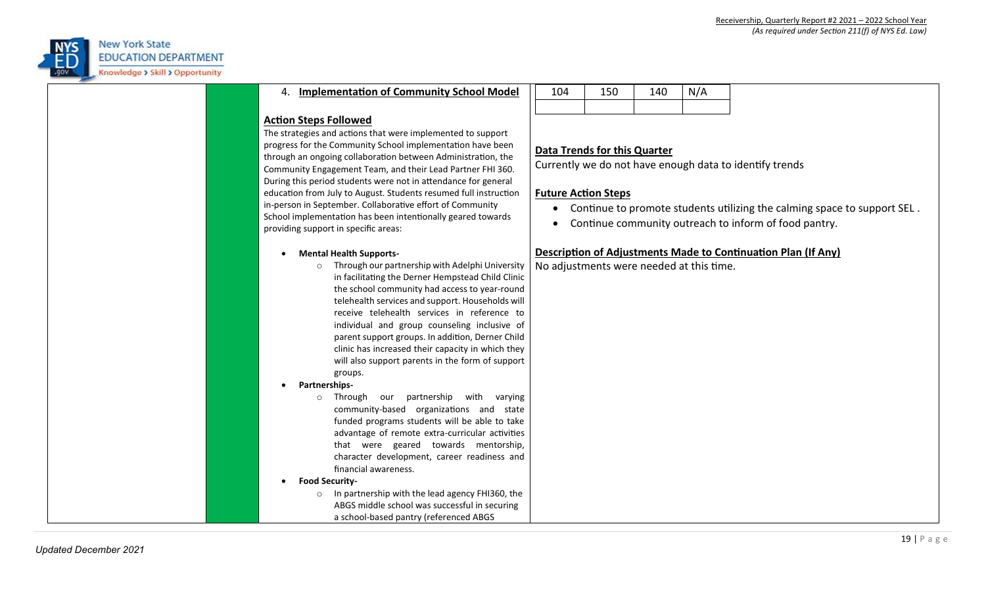

| 4. Implementation of Community School Model |  |  |
|---------------------------------------------|--|--|
|                                             |  |  |

#### **Action Steps Followed**

The strategies and actions that were implemented to support progress for the Community School implementation have been through an ongoing collaboration between Administration, the Community Engagement Team, and their Lead Partner FHI 360. During this period students were not in attendance for general education from July to August. Students resumed full instruction in-person in September. Collaborative effort of Community School implementation has been intentionally geared towards providing support in specific areas:

#### • **Mental Health Supports-**

- o Through our partnership with Adelphi University in facilitating the Derner Hempstead Child Clinic the school community had access to year-round telehealth services and support. Households will receive telehealth services in reference to individual and group counseling inclusive of parent support groups. In addition, Derner Child clinic has increased their capacity in which they will also support parents in the form of support groups.
- **Partnerships**
	- o Through our partnership with varying community-based organizations and state funded programs students will be able to take advantage of remote extra-curricular activities that were geared towards mentorship, character development, career readiness and financial awareness.

• **Food Security-**

o In partnership with the lead agency FHI360, the ABGS middle school was successful in securing a school-based pantry (referenced ABGS

| 1 <sub>0</sub> | 150 | 140 | N/A |
|----------------|-----|-----|-----|
|                |     |     |     |

### **Data Trends for this Quarter**

Currently we do not have enough data to identify trends

#### **Future Action Steps**

- Continue to promote students utilizing the calming space to support SEL .
- Continue community outreach to inform of food pantry.

#### **Description of Adjustments Made to Continuation Plan (If Any)**

No adjustments were needed at this time.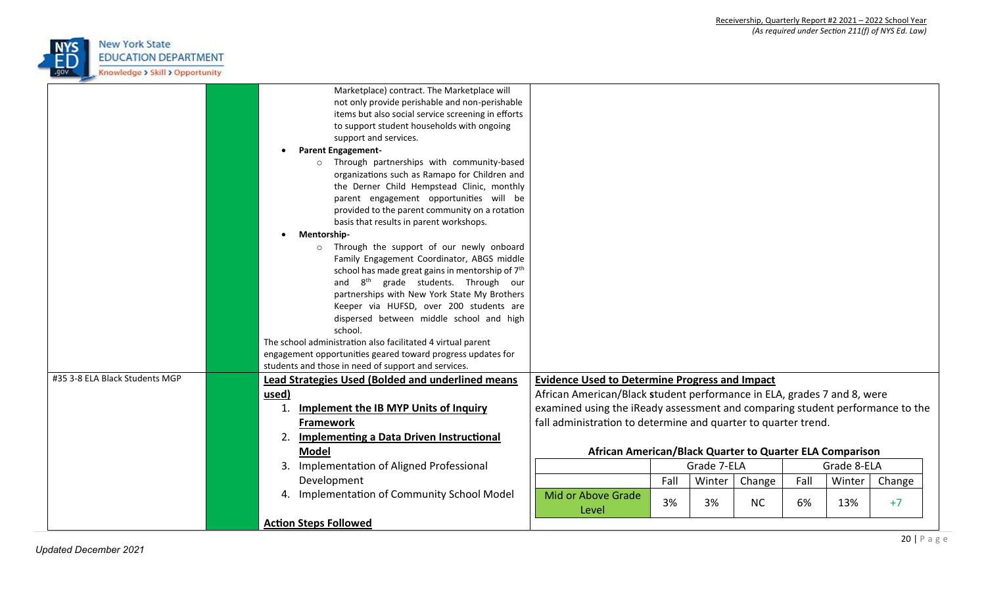

|                                | Marketplace) contract. The Marketplace will                                         |                                                                               |      |             |           |      |             |        |
|--------------------------------|-------------------------------------------------------------------------------------|-------------------------------------------------------------------------------|------|-------------|-----------|------|-------------|--------|
|                                | not only provide perishable and non-perishable                                      |                                                                               |      |             |           |      |             |        |
|                                | items but also social service screening in efforts                                  |                                                                               |      |             |           |      |             |        |
|                                | to support student households with ongoing                                          |                                                                               |      |             |           |      |             |        |
|                                | support and services.                                                               |                                                                               |      |             |           |      |             |        |
|                                | <b>Parent Engagement-</b>                                                           |                                                                               |      |             |           |      |             |        |
|                                | Through partnerships with community-based<br>$\circ$                                |                                                                               |      |             |           |      |             |        |
|                                | organizations such as Ramapo for Children and                                       |                                                                               |      |             |           |      |             |        |
|                                | the Derner Child Hempstead Clinic, monthly                                          |                                                                               |      |             |           |      |             |        |
|                                | parent engagement opportunities will be                                             |                                                                               |      |             |           |      |             |        |
|                                | provided to the parent community on a rotation                                      |                                                                               |      |             |           |      |             |        |
|                                | basis that results in parent workshops.                                             |                                                                               |      |             |           |      |             |        |
|                                | Mentorship-                                                                         |                                                                               |      |             |           |      |             |        |
|                                | Through the support of our newly onboard<br>$\circ$                                 |                                                                               |      |             |           |      |             |        |
|                                | Family Engagement Coordinator, ABGS middle                                          |                                                                               |      |             |           |      |             |        |
|                                | school has made great gains in mentorship of 7 <sup>th</sup>                        |                                                                               |      |             |           |      |             |        |
|                                | and $8th$<br>grade students. Through our                                            |                                                                               |      |             |           |      |             |        |
|                                | partnerships with New York State My Brothers                                        |                                                                               |      |             |           |      |             |        |
|                                | Keeper via HUFSD, over 200 students are<br>dispersed between middle school and high |                                                                               |      |             |           |      |             |        |
|                                | school.                                                                             |                                                                               |      |             |           |      |             |        |
|                                | The school administration also facilitated 4 virtual parent                         |                                                                               |      |             |           |      |             |        |
|                                | engagement opportunities geared toward progress updates for                         |                                                                               |      |             |           |      |             |        |
|                                | students and those in need of support and services.                                 |                                                                               |      |             |           |      |             |        |
| #35 3-8 ELA Black Students MGP | <b>Lead Strategies Used (Bolded and underlined means</b>                            | <b>Evidence Used to Determine Progress and Impact</b>                         |      |             |           |      |             |        |
|                                | used)                                                                               | African American/Black student performance in ELA, grades 7 and 8, were       |      |             |           |      |             |        |
|                                |                                                                                     |                                                                               |      |             |           |      |             |        |
|                                | <b>Implement the IB MYP Units of Inquiry</b>                                        | examined using the iReady assessment and comparing student performance to the |      |             |           |      |             |        |
|                                | <b>Framework</b>                                                                    | fall administration to determine and quarter to quarter trend.                |      |             |           |      |             |        |
|                                | <b>Implementing a Data Driven Instructional</b><br>$\overline{2}$ .                 |                                                                               |      |             |           |      |             |        |
|                                | Model                                                                               | African American/Black Quarter to Quarter ELA Comparison                      |      |             |           |      |             |        |
|                                | 3. Implementation of Aligned Professional                                           |                                                                               |      | Grade 7-ELA |           |      | Grade 8-ELA |        |
|                                | Development                                                                         |                                                                               | Fall | Winter      | Change    | Fall | Winter      | Change |
|                                | 4. Implementation of Community School Model                                         | Mid or Above Grade                                                            |      |             |           |      |             |        |
|                                |                                                                                     | Level                                                                         | 3%   | 3%          | <b>NC</b> | 6%   | 13%         | $+7$   |
|                                | <b>Action Steps Followed</b>                                                        |                                                                               |      |             |           |      |             |        |
|                                |                                                                                     |                                                                               |      |             |           |      |             |        |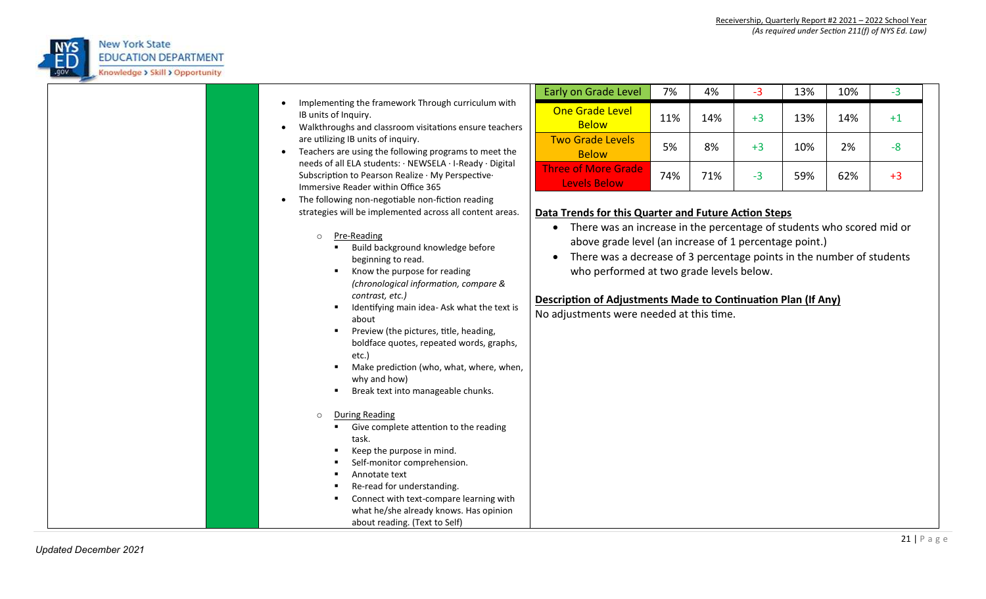

|                                                                                                                                                                                                                                                                                                                                                                                                                                                                                                                                                                                                                                                                                                                                                 | Early on Grade Level                                                                                                                                                                                                                                                                                                                                                                                                      | 7%  | 4%  | $-3$ | 13% | 10% | $-3$ |
|-------------------------------------------------------------------------------------------------------------------------------------------------------------------------------------------------------------------------------------------------------------------------------------------------------------------------------------------------------------------------------------------------------------------------------------------------------------------------------------------------------------------------------------------------------------------------------------------------------------------------------------------------------------------------------------------------------------------------------------------------|---------------------------------------------------------------------------------------------------------------------------------------------------------------------------------------------------------------------------------------------------------------------------------------------------------------------------------------------------------------------------------------------------------------------------|-----|-----|------|-----|-----|------|
| Implementing the framework Through curriculum with<br>IB units of Inquiry.<br>Walkthroughs and classroom visitations ensure teachers<br>$\bullet$                                                                                                                                                                                                                                                                                                                                                                                                                                                                                                                                                                                               | <b>One Grade Level</b><br><b>Below</b>                                                                                                                                                                                                                                                                                                                                                                                    | 11% | 14% | $+3$ | 13% | 14% | $+1$ |
| are utilizing IB units of inquiry.<br>Teachers are using the following programs to meet the<br>$\bullet$<br>needs of all ELA students: · NEWSELA · I-Ready · Digital                                                                                                                                                                                                                                                                                                                                                                                                                                                                                                                                                                            | <b>Two Grade Levels</b><br><b>Below</b>                                                                                                                                                                                                                                                                                                                                                                                   | 5%  | 8%  | $+3$ | 10% | 2%  | $-8$ |
| Subscription to Pearson Realize · My Perspective·<br>Immersive Reader within Office 365                                                                                                                                                                                                                                                                                                                                                                                                                                                                                                                                                                                                                                                         | <b>Three of More Grade</b><br>Levels Below                                                                                                                                                                                                                                                                                                                                                                                | 74% | 71% | $-3$ | 59% | 62% | $+3$ |
| The following non-negotiable non-fiction reading<br>strategies will be implemented across all content areas.<br>Pre-Reading<br>$\circ$<br>Build background knowledge before<br>beginning to read.<br>Know the purpose for reading<br>(chronological information, compare &<br>contrast, etc.)<br>Identifying main idea- Ask what the text is<br>٠<br>about<br>Preview (the pictures, title, heading,<br>boldface quotes, repeated words, graphs,<br>etc.)<br>Make prediction (who, what, where, when,<br>why and how)<br>Break text into manageable chunks.<br>٠<br><b>During Reading</b><br>$\circ$<br>Give complete attention to the reading<br>$\blacksquare$<br>task.<br>Keep the purpose in mind.<br>٠<br>Self-monitor comprehension.<br>٠ | Data Trends for this Quarter and Future Action Steps<br>There was an increase in the percentage of students who scored mid or<br>above grade level (an increase of 1 percentage point.)<br>There was a decrease of 3 percentage points in the number of students<br>who performed at two grade levels below.<br>Description of Adjustments Made to Continuation Plan (If Any)<br>No adjustments were needed at this time. |     |     |      |     |     |      |
| Annotate text<br>٠<br>Re-read for understanding.<br>Connect with text-compare learning with<br>what he/she already knows. Has opinion<br>about reading. (Text to Self)                                                                                                                                                                                                                                                                                                                                                                                                                                                                                                                                                                          |                                                                                                                                                                                                                                                                                                                                                                                                                           |     |     |      |     |     |      |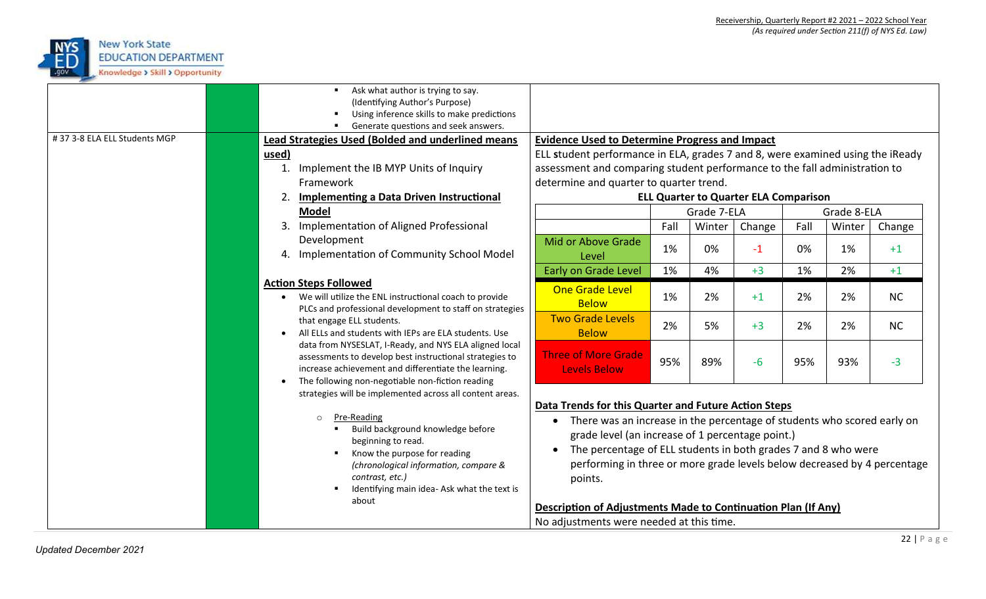

| #37 3-8 ELA ELL Students MGP | Ask what author is trying to say.<br>$\blacksquare$<br>(Identifying Author's Purpose)<br>Using inference skills to make predictions<br>Generate questions and seek answers.<br>Lead Strategies Used (Bolded and underlined means<br>used)<br>Implement the IB MYP Units of Inquiry<br>Framework<br><b>Implementing a Data Driven Instructional</b><br><b>Model</b> | <b>Evidence Used to Determine Progress and Impact</b><br>ELL student performance in ELA, grades 7 and 8, were examined using the iReady<br>assessment and comparing student performance to the fall administration to<br>determine and quarter to quarter trend.<br><b>ELL Quarter to Quarter ELA Comparison</b><br>Grade 8-ELA<br>Grade 7-ELA                                                                                                                                             |  |  |  |  |  |
|------------------------------|--------------------------------------------------------------------------------------------------------------------------------------------------------------------------------------------------------------------------------------------------------------------------------------------------------------------------------------------------------------------|--------------------------------------------------------------------------------------------------------------------------------------------------------------------------------------------------------------------------------------------------------------------------------------------------------------------------------------------------------------------------------------------------------------------------------------------------------------------------------------------|--|--|--|--|--|
|                              |                                                                                                                                                                                                                                                                                                                                                                    |                                                                                                                                                                                                                                                                                                                                                                                                                                                                                            |  |  |  |  |  |
|                              | Implementation of Aligned Professional<br>3.<br>Development<br>4. Implementation of Community School Model                                                                                                                                                                                                                                                         | Fall<br>Fall<br>Winter<br>Change<br>Change<br>Winter<br>Mid or Above Grade<br>1%<br>0%<br>0%<br>$-1$<br>1%<br>$+1$<br>Level                                                                                                                                                                                                                                                                                                                                                                |  |  |  |  |  |
|                              |                                                                                                                                                                                                                                                                                                                                                                    | 1%<br>4%<br>$+3$<br>1%<br>2%<br>$+1$<br>Early on Grade Level                                                                                                                                                                                                                                                                                                                                                                                                                               |  |  |  |  |  |
|                              | <b>Action Steps Followed</b><br>We will utilize the ENL instructional coach to provide<br>PLCs and professional development to staff on strategies<br>that engage ELL students.<br>All ELLs and students with IEPs are ELA students. Use                                                                                                                           | One Grade Level<br>1%<br>2%<br>$+1$<br>2%<br>NC<br>2%<br><b>Below</b>                                                                                                                                                                                                                                                                                                                                                                                                                      |  |  |  |  |  |
|                              |                                                                                                                                                                                                                                                                                                                                                                    | <b>Two Grade Levels</b><br>2%<br>5%<br>$+3$<br>2%<br>2%<br><b>NC</b><br><b>Below</b>                                                                                                                                                                                                                                                                                                                                                                                                       |  |  |  |  |  |
|                              | data from NYSESLAT, I-Ready, and NYS ELA aligned local<br>assessments to develop best instructional strategies to<br>increase achievement and differentiate the learning.<br>The following non-negotiable non-fiction reading                                                                                                                                      | <b>Three of More Grade</b><br>95%<br>89%<br>$-6$<br>95%<br>93%<br>$-3$<br><b>Levels Below</b>                                                                                                                                                                                                                                                                                                                                                                                              |  |  |  |  |  |
|                              | strategies will be implemented across all content areas.<br>Pre-Reading<br>$\Omega$<br>Build background knowledge before<br>beginning to read.<br>Know the purpose for reading<br>(chronological information, compare &<br>contrast, etc.)<br>Identifying main idea- Ask what the text is<br>about                                                                 | Data Trends for this Quarter and Future Action Steps<br>There was an increase in the percentage of students who scored early on<br>$\bullet$<br>grade level (an increase of 1 percentage point.)<br>The percentage of ELL students in both grades 7 and 8 who were<br>$\bullet$<br>performing in three or more grade levels below decreased by 4 percentage<br>points.<br><b>Description of Adjustments Made to Continuation Plan (If Any)</b><br>No adjustments were needed at this time. |  |  |  |  |  |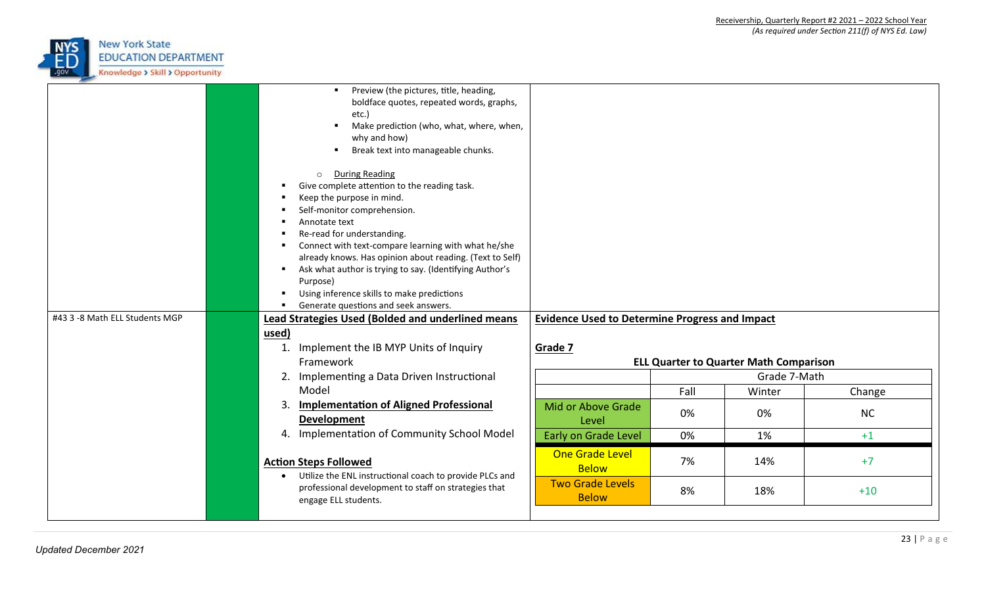

|                                | Preview (the pictures, title, heading,<br>$\blacksquare$<br>boldface quotes, repeated words, graphs,<br>etc.)<br>Make prediction (who, what, where, when,<br>٠.<br>why and how)<br>Break text into manageable chunks.<br>$\blacksquare$<br><b>During Reading</b><br>$\circ$<br>Give complete attention to the reading task.<br>Keep the purpose in mind.<br>Self-monitor comprehension.<br>Annotate text<br>Re-read for understanding.<br>Connect with text-compare learning with what he/she<br>already knows. Has opinion about reading. (Text to Self)<br>Ask what author is trying to say. (Identifying Author's<br>Purpose)<br>Using inference skills to make predictions<br>Generate questions and seek answers. |                                                       |      |                                               |           |
|--------------------------------|------------------------------------------------------------------------------------------------------------------------------------------------------------------------------------------------------------------------------------------------------------------------------------------------------------------------------------------------------------------------------------------------------------------------------------------------------------------------------------------------------------------------------------------------------------------------------------------------------------------------------------------------------------------------------------------------------------------------|-------------------------------------------------------|------|-----------------------------------------------|-----------|
| #43 3 -8 Math ELL Students MGP | Lead Strategies Used (Bolded and underlined means                                                                                                                                                                                                                                                                                                                                                                                                                                                                                                                                                                                                                                                                      | <b>Evidence Used to Determine Progress and Impact</b> |      |                                               |           |
|                                | used)<br>1. Implement the IB MYP Units of Inquiry<br>Framework                                                                                                                                                                                                                                                                                                                                                                                                                                                                                                                                                                                                                                                         | Grade 7                                               |      | <b>ELL Quarter to Quarter Math Comparison</b> |           |
|                                | 2. Implementing a Data Driven Instructional                                                                                                                                                                                                                                                                                                                                                                                                                                                                                                                                                                                                                                                                            |                                                       |      | Grade 7-Math                                  |           |
|                                | Model                                                                                                                                                                                                                                                                                                                                                                                                                                                                                                                                                                                                                                                                                                                  |                                                       | Fall | Winter                                        | Change    |
|                                | <b>Implementation of Aligned Professional</b><br><b>Development</b>                                                                                                                                                                                                                                                                                                                                                                                                                                                                                                                                                                                                                                                    | Mid or Above Grade<br>Level                           | 0%   | 0%                                            | <b>NC</b> |
|                                | 4. Implementation of Community School Model                                                                                                                                                                                                                                                                                                                                                                                                                                                                                                                                                                                                                                                                            | Early on Grade Level                                  | 0%   | 1%                                            | $+1$      |
|                                | <b>Action Steps Followed</b><br>Utilize the ENL instructional coach to provide PLCs and                                                                                                                                                                                                                                                                                                                                                                                                                                                                                                                                                                                                                                | One Grade Level<br><b>Below</b>                       | 7%   | 14%                                           | $+7$      |
|                                | professional development to staff on strategies that<br>engage ELL students.                                                                                                                                                                                                                                                                                                                                                                                                                                                                                                                                                                                                                                           | <b>Two Grade Levels</b><br><b>Below</b>               | 8%   | 18%                                           | $+10$     |
|                                |                                                                                                                                                                                                                                                                                                                                                                                                                                                                                                                                                                                                                                                                                                                        |                                                       |      |                                               |           |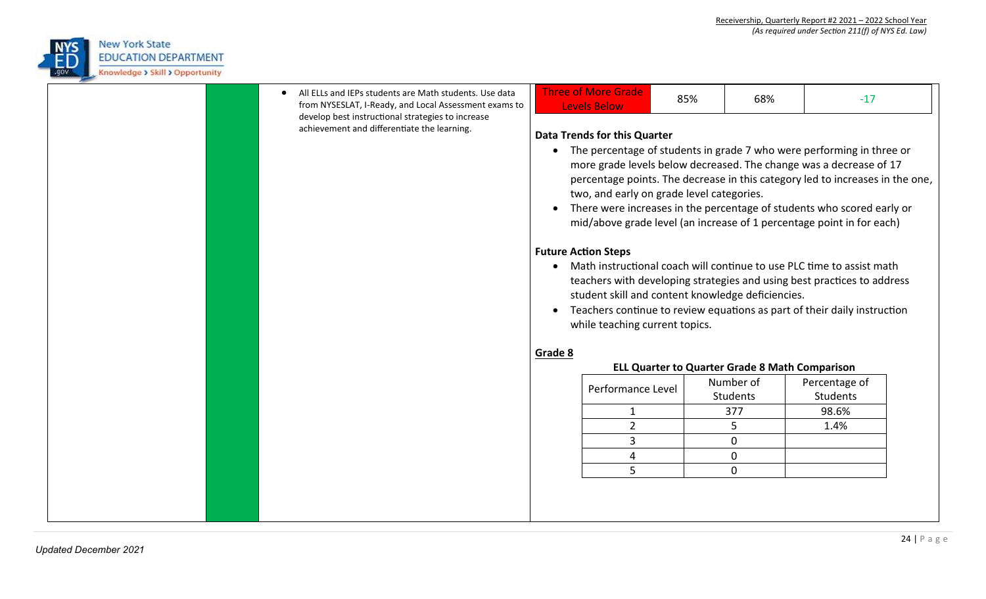

| All ELLs and IEPs students are Math students. Use data<br>$\bullet$<br>from NYSESLAT, I-Ready, and Local Assessment exams to |                                                                          | <b>Three of More Grade</b><br><b>Levels Below</b>                                                                                                                                                                                                                                                                                                                                                                                                                   | 85% | 68%         | $-17$                                                                 |  |
|------------------------------------------------------------------------------------------------------------------------------|--------------------------------------------------------------------------|---------------------------------------------------------------------------------------------------------------------------------------------------------------------------------------------------------------------------------------------------------------------------------------------------------------------------------------------------------------------------------------------------------------------------------------------------------------------|-----|-------------|-----------------------------------------------------------------------|--|
| develop best instructional strategies to increase<br>achievement and differentiate the learning.                             | $\bullet$                                                                | <b>Data Trends for this Quarter</b><br>The percentage of students in grade 7 who were performing in three or<br>more grade levels below decreased. The change was a decrease of 17<br>percentage points. The decrease in this category led to increases in the one,<br>two, and early on grade level categories.<br>There were increases in the percentage of students who scored early or<br>mid/above grade level (an increase of 1 percentage point in for each) |     |             |                                                                       |  |
|                                                                                                                              |                                                                          | <b>Future Action Steps</b>                                                                                                                                                                                                                                                                                                                                                                                                                                          |     |             |                                                                       |  |
|                                                                                                                              |                                                                          |                                                                                                                                                                                                                                                                                                                                                                                                                                                                     |     |             | Math instructional coach will continue to use PLC time to assist math |  |
|                                                                                                                              | teachers with developing strategies and using best practices to address  |                                                                                                                                                                                                                                                                                                                                                                                                                                                                     |     |             |                                                                       |  |
|                                                                                                                              | student skill and content knowledge deficiencies.                        |                                                                                                                                                                                                                                                                                                                                                                                                                                                                     |     |             |                                                                       |  |
|                                                                                                                              | Teachers continue to review equations as part of their daily instruction |                                                                                                                                                                                                                                                                                                                                                                                                                                                                     |     |             |                                                                       |  |
|                                                                                                                              | while teaching current topics.                                           |                                                                                                                                                                                                                                                                                                                                                                                                                                                                     |     |             |                                                                       |  |
|                                                                                                                              |                                                                          |                                                                                                                                                                                                                                                                                                                                                                                                                                                                     |     |             |                                                                       |  |
|                                                                                                                              | Grade 8                                                                  |                                                                                                                                                                                                                                                                                                                                                                                                                                                                     |     |             |                                                                       |  |
|                                                                                                                              | <b>ELL Quarter to Quarter Grade 8 Math Comparison</b>                    |                                                                                                                                                                                                                                                                                                                                                                                                                                                                     |     |             |                                                                       |  |
|                                                                                                                              |                                                                          | Performance Level                                                                                                                                                                                                                                                                                                                                                                                                                                                   |     | Number of   | Percentage of                                                         |  |
|                                                                                                                              |                                                                          |                                                                                                                                                                                                                                                                                                                                                                                                                                                                     |     | Students    | <b>Students</b>                                                       |  |
|                                                                                                                              |                                                                          | 1                                                                                                                                                                                                                                                                                                                                                                                                                                                                   |     | 377         | 98.6%                                                                 |  |
|                                                                                                                              |                                                                          | $\overline{2}$                                                                                                                                                                                                                                                                                                                                                                                                                                                      |     | 5           | 1.4%                                                                  |  |
|                                                                                                                              |                                                                          | 3                                                                                                                                                                                                                                                                                                                                                                                                                                                                   |     | 0           |                                                                       |  |
|                                                                                                                              |                                                                          | 4                                                                                                                                                                                                                                                                                                                                                                                                                                                                   |     | 0           |                                                                       |  |
|                                                                                                                              |                                                                          | 5                                                                                                                                                                                                                                                                                                                                                                                                                                                                   |     | $\mathbf 0$ |                                                                       |  |
|                                                                                                                              |                                                                          |                                                                                                                                                                                                                                                                                                                                                                                                                                                                     |     |             |                                                                       |  |
|                                                                                                                              |                                                                          |                                                                                                                                                                                                                                                                                                                                                                                                                                                                     |     |             |                                                                       |  |
|                                                                                                                              |                                                                          |                                                                                                                                                                                                                                                                                                                                                                                                                                                                     |     |             |                                                                       |  |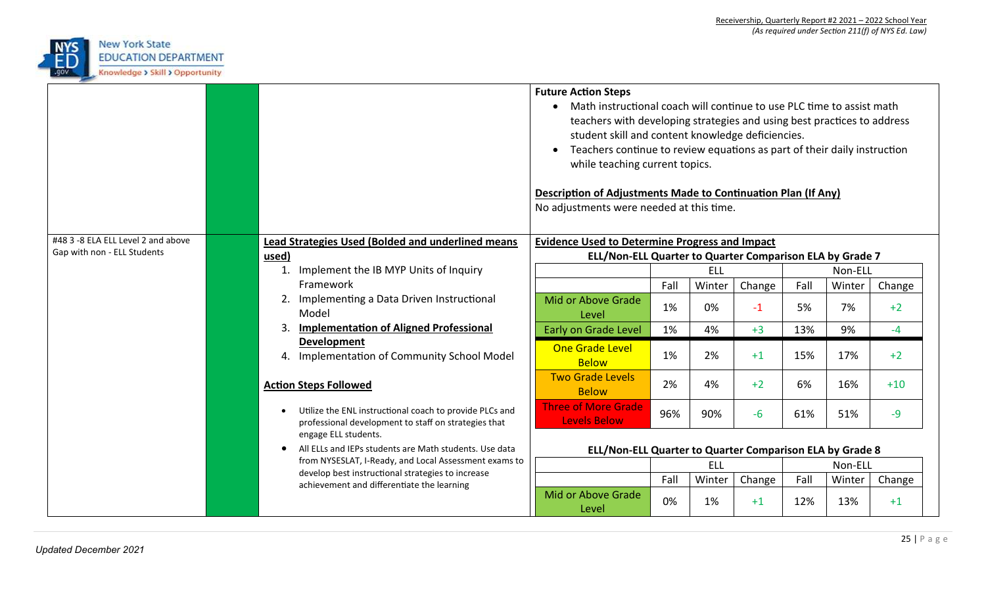

|                                    |                                                                                                                                           |                                                                                                                 | <b>Future Action Steps</b><br>Math instructional coach will continue to use PLC time to assist math<br>teachers with developing strategies and using best practices to address<br>student skill and content knowledge deficiencies.<br>Teachers continue to review equations as part of their daily instruction<br>$\bullet$<br>while teaching current topics.<br>Description of Adjustments Made to Continuation Plan (If Any)<br>No adjustments were needed at this time. |            |        |        |         |        |        |  |
|------------------------------------|-------------------------------------------------------------------------------------------------------------------------------------------|-----------------------------------------------------------------------------------------------------------------|-----------------------------------------------------------------------------------------------------------------------------------------------------------------------------------------------------------------------------------------------------------------------------------------------------------------------------------------------------------------------------------------------------------------------------------------------------------------------------|------------|--------|--------|---------|--------|--------|--|
| #48 3 -8 ELA ELL Level 2 and above |                                                                                                                                           | Lead Strategies Used (Bolded and underlined means                                                               | <b>Evidence Used to Determine Progress and Impact</b>                                                                                                                                                                                                                                                                                                                                                                                                                       |            |        |        |         |        |        |  |
| Gap with non - ELL Students        |                                                                                                                                           | used)                                                                                                           | ELL/Non-ELL Quarter to Quarter Comparison ELA by Grade 7                                                                                                                                                                                                                                                                                                                                                                                                                    |            |        |        |         |        |        |  |
|                                    |                                                                                                                                           | Implement the IB MYP Units of Inquiry<br>1.                                                                     |                                                                                                                                                                                                                                                                                                                                                                                                                                                                             | <b>ELL</b> |        |        | Non-ELL |        |        |  |
|                                    |                                                                                                                                           | Framework                                                                                                       |                                                                                                                                                                                                                                                                                                                                                                                                                                                                             | Fall       | Winter | Change | Fall    | Winter | Change |  |
|                                    |                                                                                                                                           | 2. Implementing a Data Driven Instructional<br>Model                                                            | Mid or Above Grade<br>Level                                                                                                                                                                                                                                                                                                                                                                                                                                                 | 1%         | 0%     | $-1$   | 5%      | 7%     | $+2$   |  |
|                                    | 3.<br><b>Development</b><br><b>Action Steps Followed</b><br>engage ELL students.<br>from NYSESLAT, I-Ready, and Local Assessment exams to | <b>Implementation of Aligned Professional</b>                                                                   | Early on Grade Level                                                                                                                                                                                                                                                                                                                                                                                                                                                        | 1%         | 4%     | $+3$   | 13%     | 9%     | -4     |  |
|                                    |                                                                                                                                           | 4. Implementation of Community School Model                                                                     | <b>One Grade Level</b><br><b>Below</b>                                                                                                                                                                                                                                                                                                                                                                                                                                      | 1%         | 2%     | $+1$   | 15%     | 17%    | $+2$   |  |
|                                    |                                                                                                                                           |                                                                                                                 | <b>Two Grade Levels</b><br><b>Below</b>                                                                                                                                                                                                                                                                                                                                                                                                                                     | 2%         | 4%     | $+2$   | 6%      | 16%    | $+10$  |  |
|                                    |                                                                                                                                           | Utilize the ENL instructional coach to provide PLCs and<br>professional development to staff on strategies that | <b>Three of More Grade</b><br><b>Levels Below</b>                                                                                                                                                                                                                                                                                                                                                                                                                           | 96%        | 90%    | $-6$   | 61%     | 51%    | $-9$   |  |
|                                    |                                                                                                                                           | All ELLs and IEPs students are Math students. Use data                                                          | ELL/Non-ELL Quarter to Quarter Comparison ELA by Grade 8                                                                                                                                                                                                                                                                                                                                                                                                                    |            |        |        |         |        |        |  |
|                                    |                                                                                                                                           | develop best instructional strategies to increase                                                               |                                                                                                                                                                                                                                                                                                                                                                                                                                                                             | <b>ELL</b> |        |        | Non-ELL |        |        |  |
|                                    |                                                                                                                                           | achievement and differentiate the learning                                                                      |                                                                                                                                                                                                                                                                                                                                                                                                                                                                             | Fall       | Winter | Change | Fall    | Winter | Change |  |
|                                    |                                                                                                                                           |                                                                                                                 | Mid or Above Grade<br>Level                                                                                                                                                                                                                                                                                                                                                                                                                                                 | 0%         | 1%     | $+1$   | 12%     | 13%    | $+1$   |  |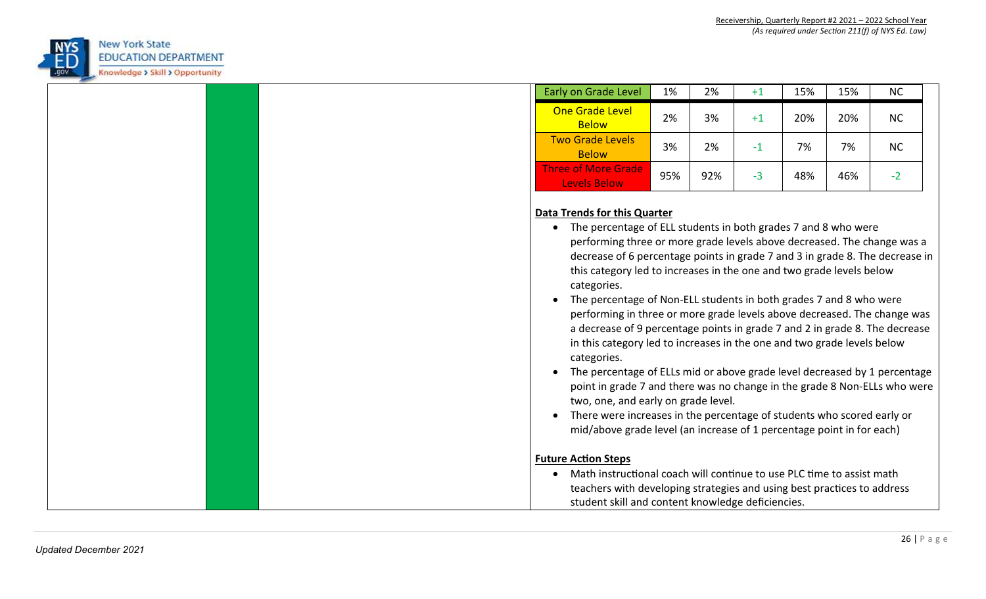

| 20%<br>$+1$<br>7%<br>$-1$<br>$-3$<br>48% | 3%<br>2%<br>92% | 2%<br>3% | <b>One Grade Level</b><br><b>Below</b><br><b>Two Grade Levels</b><br><b>Below</b>                                                                                                                                                                                                                                                                                                                                                                                                                                                                                                                                                                            |
|------------------------------------------|-----------------|----------|--------------------------------------------------------------------------------------------------------------------------------------------------------------------------------------------------------------------------------------------------------------------------------------------------------------------------------------------------------------------------------------------------------------------------------------------------------------------------------------------------------------------------------------------------------------------------------------------------------------------------------------------------------------|
|                                          |                 |          |                                                                                                                                                                                                                                                                                                                                                                                                                                                                                                                                                                                                                                                              |
|                                          |                 |          |                                                                                                                                                                                                                                                                                                                                                                                                                                                                                                                                                                                                                                                              |
|                                          |                 | 95%      | <b>Three of More Grade</b><br><b>Levels Below</b>                                                                                                                                                                                                                                                                                                                                                                                                                                                                                                                                                                                                            |
|                                          |                 |          | <b>Data Trends for this Quarter</b><br>• The percentage of ELL students in both grades 7 and 8 who were<br>performing three or more grade levels above decreased. The change was a<br>decrease of 6 percentage points in grade 7 and 3 in grade 8. The decrease in<br>this category led to increases in the one and two grade levels below<br>categories.<br>categories.<br><b>Future Action Steps</b>                                                                                                                                                                                                                                                       |
|                                          |                 |          | The percentage of Non-ELL students in both grades 7 and 8 who were<br>performing in three or more grade levels above decreased. The change was<br>a decrease of 9 percentage points in grade 7 and 2 in grade 8. The decrease<br>in this category led to increases in the one and two grade levels below<br>The percentage of ELLs mid or above grade level decreased by 1 percentage<br>point in grade 7 and there was no change in the grade 8 Non-ELLs who were<br>two, one, and early on grade level.<br>There were increases in the percentage of students who scored early or<br>mid/above grade level (an increase of 1 percentage point in for each) |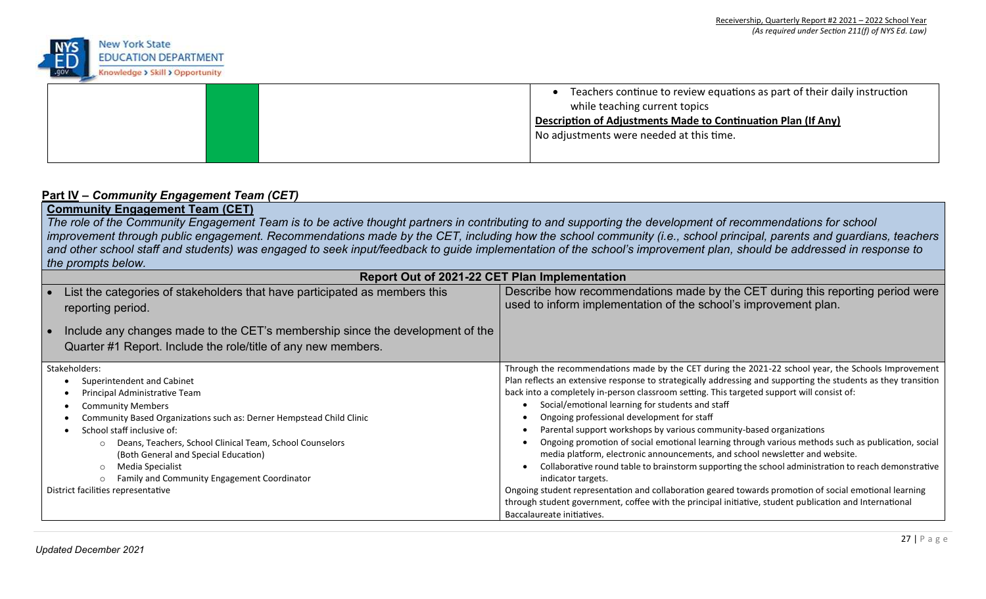

|  | Teachers continue to review equations as part of their daily instruction |
|--|--------------------------------------------------------------------------|
|  | while teaching current topics                                            |
|  | Description of Adjustments Made to Continuation Plan (If Any)            |
|  | No adjustments were needed at this time.                                 |
|  |                                                                          |
|  |                                                                          |

# **Part IV –** *Community Engagement Team (CET)*

**Community Engagement Team (CET)** *The role of the Community Engagement Team is to be active thought partners in contributing to and supporting the development of recommendations for school*  improvement through public engagement. Recommendations made by the CET, including how the school community (i.e., school principal, parents and guardians, teachers and other school staff and students) was engaged to seek input/feedback to guide implementation of the school's improvement plan, should be addressed in response to *the prompts below.*

| <b>Report Out of 2021-22 CET Plan Implementation</b>                                               |                                                                                                                                                                                    |  |  |  |  |  |
|----------------------------------------------------------------------------------------------------|------------------------------------------------------------------------------------------------------------------------------------------------------------------------------------|--|--|--|--|--|
| List the categories of stakeholders that have participated as members this<br>reporting period.    | Describe how recommendations made by the CET during this reporting period were<br>used to inform implementation of the school's improvement plan.                                  |  |  |  |  |  |
| Include any changes made to the CET's membership since the development of the                      |                                                                                                                                                                                    |  |  |  |  |  |
| Quarter #1 Report. Include the role/title of any new members.                                      |                                                                                                                                                                                    |  |  |  |  |  |
| Stakeholders:                                                                                      | Through the recommendations made by the CET during the 2021-22 school year, the Schools Improvement                                                                                |  |  |  |  |  |
| Superintendent and Cabinet                                                                         | Plan reflects an extensive response to strategically addressing and supporting the students as they transition                                                                     |  |  |  |  |  |
| Principal Administrative Team                                                                      | back into a completely in-person classroom setting. This targeted support will consist of:                                                                                         |  |  |  |  |  |
| <b>Community Members</b>                                                                           | Social/emotional learning for students and staff                                                                                                                                   |  |  |  |  |  |
| Community Based Organizations such as: Derner Hempstead Child Clinic                               | Ongoing professional development for staff                                                                                                                                         |  |  |  |  |  |
| School staff inclusive of:                                                                         | Parental support workshops by various community-based organizations                                                                                                                |  |  |  |  |  |
| o Deans, Teachers, School Clinical Team, School Counselors<br>(Both General and Special Education) | Ongoing promotion of social emotional learning through various methods such as publication, social<br>media platform, electronic announcements, and school newsletter and website. |  |  |  |  |  |
| Media Specialist                                                                                   | Collaborative round table to brainstorm supporting the school administration to reach demonstrative                                                                                |  |  |  |  |  |
| Family and Community Engagement Coordinator                                                        | indicator targets.                                                                                                                                                                 |  |  |  |  |  |
| District facilities representative                                                                 | Ongoing student representation and collaboration geared towards promotion of social emotional learning                                                                             |  |  |  |  |  |
|                                                                                                    | through student government, coffee with the principal initiative, student publication and International                                                                            |  |  |  |  |  |
|                                                                                                    | Baccalaureate initiatives.                                                                                                                                                         |  |  |  |  |  |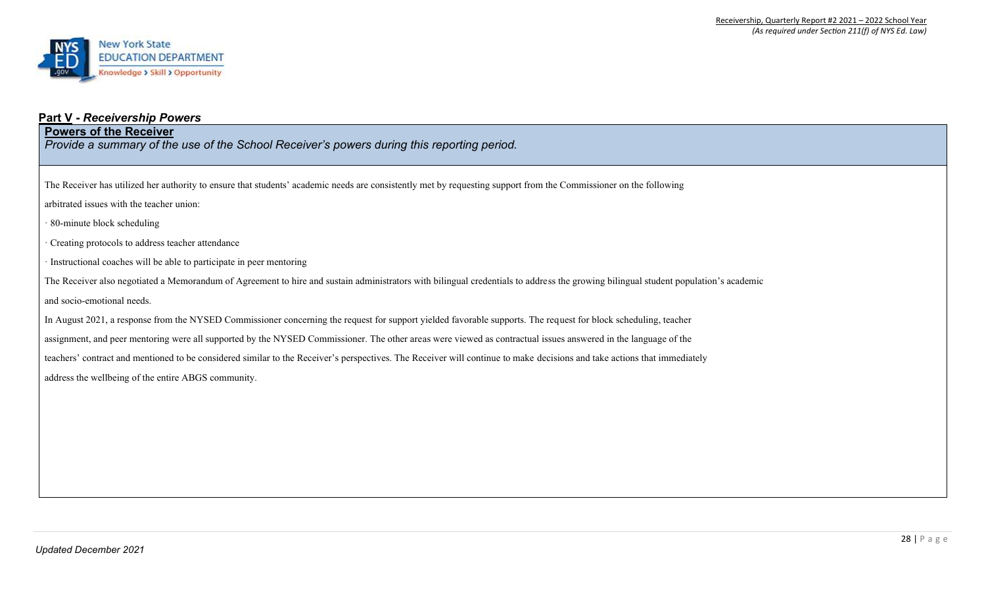

### **Part V -** *Receivership Powers*

## **Powers of the Receiver**

*Provide a summary of the use of the School Receiver's powers during this reporting period.*

The Receiver has utilized her authority to ensure that students' academic needs are consistently met by requesting support from the Commissioner on the following

arbitrated issues with the teacher union:

· 80-minute block scheduling

· Creating protocols to address teacher attendance

· Instructional coaches will be able to participate in peer mentoring

The Receiver also negotiated a Memorandum of Agreement to hire and sustain administrators with bilingual credentials to address the growing bilingual student population's academic

and socio-emotional needs.

In August 2021, a response from the NYSED Commissioner concerning the request for support yielded favorable supports. The request for block scheduling, teacher

assignment, and peer mentoring were all supported by the NYSED Commissioner. The other areas were viewed as contractual issues answered in the language of the

teachers' contract and mentioned to be considered similar to the Receiver's perspectives. The Receiver will continue to make decisions and take actions that immediately

address the wellbeing of the entire ABGS community.